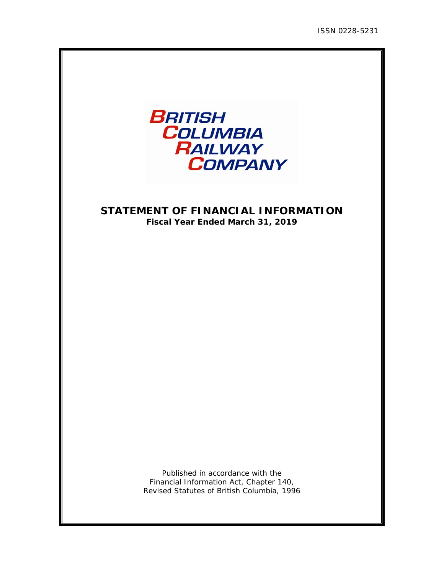

# **STATEMENT OF FINANCIAL INFORMATION Fiscal Year Ended March 31, 2019**

Published in accordance with the Financial Information Act, Chapter 140, Revised Statutes of British Columbia, 1996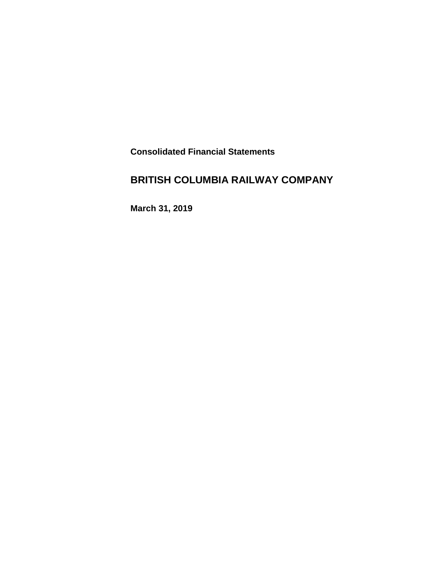**Consolidated Financial Statements** 

# **BRITISH COLUMBIA RAILWAY COMPANY**

**March 31, 2019**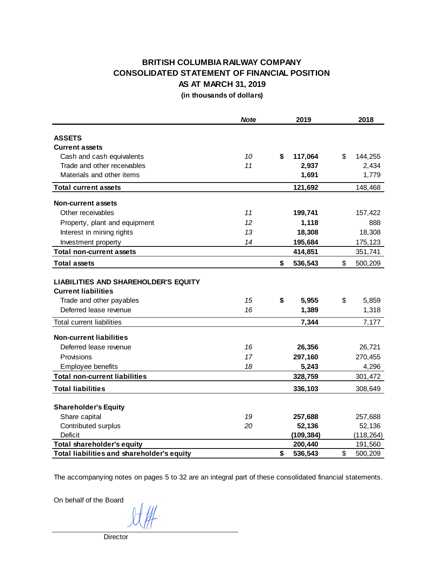# **BRITISH COLUMBIA RAILWAY COMPANY CONSOLIDATED STATEMENT OF FINANCIAL POSITION AS AT MARCH 31, 2019**

**(in thousands of dollars)**

|                                                                                                                                 | <b>Note</b> | 2019                 |    | 2018              |
|---------------------------------------------------------------------------------------------------------------------------------|-------------|----------------------|----|-------------------|
|                                                                                                                                 |             |                      |    |                   |
| <b>ASSETS</b>                                                                                                                   |             |                      |    |                   |
| <b>Current assets</b>                                                                                                           |             | \$                   | \$ |                   |
| Cash and cash equivalents<br>Trade and other receivables                                                                        | 10<br>11    | 117,064<br>2,937     |    | 144,255           |
| Materials and other items                                                                                                       |             | 1,691                |    | 2,434<br>1,779    |
|                                                                                                                                 |             |                      |    |                   |
| <b>Total current assets</b>                                                                                                     |             | 121,692              |    | 148,468           |
| <b>Non-current assets</b>                                                                                                       |             |                      |    |                   |
| Other receivables                                                                                                               | 11          | 199,741              |    | 157,422           |
| Property, plant and equipment                                                                                                   | 12          | 1,118                |    | 888               |
| Interest in mining rights                                                                                                       | 13          | 18,308               |    | 18,308            |
| Investment property                                                                                                             | 14          | 195,684              |    | 175,123           |
| <b>Total non-current assets</b>                                                                                                 |             | 414,851              |    | 351,741           |
| <b>Total assets</b>                                                                                                             |             | \$<br>536,543        | \$ | 500,209           |
| <b>LIABILITIES AND SHAREHOLDER'S EQUITY</b><br><b>Current liabilities</b><br>Trade and other payables<br>Deferred lease revenue | 15<br>16    | \$<br>5,955<br>1,389 | \$ | 5,859<br>1,318    |
| <b>Total current liabilities</b>                                                                                                |             | 7,344                |    | 7,177             |
| <b>Non-current liabilities</b><br>Deferred lease revenue<br>Provisions                                                          | 16<br>17    | 26,356<br>297,160    |    | 26,721<br>270,455 |
| Employee benefits                                                                                                               | 18          | 5,243                |    | 4,296             |
| <b>Total non-current liabilities</b>                                                                                            |             | 328,759              |    | 301,472           |
| <b>Total liabilities</b>                                                                                                        |             | 336,103              |    | 308,649           |
| <b>Shareholder's Equity</b><br>Share capital<br>Contributed surplus                                                             | 19<br>20    | 257,688<br>52,136    |    | 257,688<br>52,136 |
| <b>Deficit</b>                                                                                                                  |             | (109, 384)           |    | (118, 264)        |
| <b>Total shareholder's equity</b>                                                                                               |             | 200,440              |    | 191,560           |
| Total liabilities and shareholder's equity                                                                                      |             | \$<br>536,543        | \$ | 500,209           |

The accompanying notes on pages 5 to 32 are an integral part of these consolidated financial statements.

On behalf of the Board

Director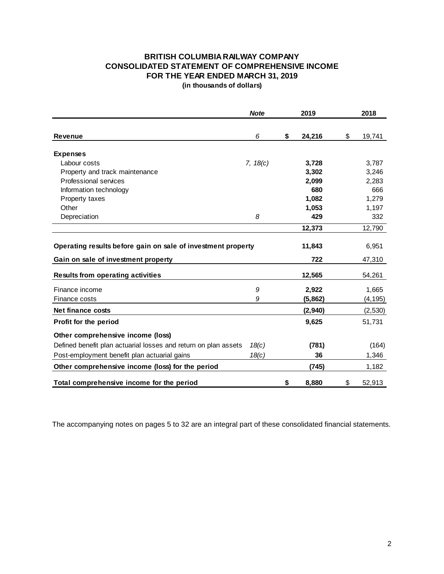# **BRITISH COLUMBIA RAILWAY COMPANY CONSOLIDATED STATEMENT OF COMPREHENSIVE INCOME FOR THE YEAR ENDED MARCH 31, 2019**

**(in thousands of dollars)**

|                                                                                                     | <b>Note</b> | 2019          | 2018            |
|-----------------------------------------------------------------------------------------------------|-------------|---------------|-----------------|
| <b>Revenue</b>                                                                                      | 6           | \$<br>24,216  | \$<br>19,741    |
|                                                                                                     |             |               |                 |
| <b>Expenses</b>                                                                                     |             |               |                 |
| Labour costs                                                                                        | 7, 18(c)    | 3,728         | 3,787           |
| Property and track maintenance                                                                      |             | 3,302         | 3,246           |
| Professional services                                                                               |             | 2,099<br>680  | 2,283<br>666    |
| Information technology                                                                              |             |               |                 |
| Property taxes                                                                                      |             | 1,082         | 1,279           |
| Other                                                                                               |             | 1,053         | 1,197           |
| Depreciation                                                                                        | 8           | 429           | 332             |
|                                                                                                     |             | 12,373        | 12,790          |
| Operating results before gain on sale of investment property<br>Gain on sale of investment property |             | 11,843<br>722 | 6,951<br>47,310 |
| <b>Results from operating activities</b>                                                            |             | 12,565        | 54,261          |
| Finance income                                                                                      | 9           | 2,922         | 1,665           |
| Finance costs                                                                                       | 9           | (5,862)       | (4, 195)        |
| Net finance costs                                                                                   |             | (2,940)       | (2,530)         |
| Profit for the period                                                                               |             | 9,625         | 51,731          |
| Other comprehensive income (loss)                                                                   |             |               |                 |
| Defined benefit plan actuarial losses and return on plan assets                                     | 18(c)       | (781)         | (164)           |
| Post-employment benefit plan actuarial gains                                                        | 18(c)       | 36            | 1,346           |
| Other comprehensive income (loss) for the period                                                    |             | (745)         | 1,182           |
| Total comprehensive income for the period                                                           |             | \$<br>8,880   | \$<br>52,913    |

The accompanying notes on pages 5 to 32 are an integral part of these consolidated financial statements.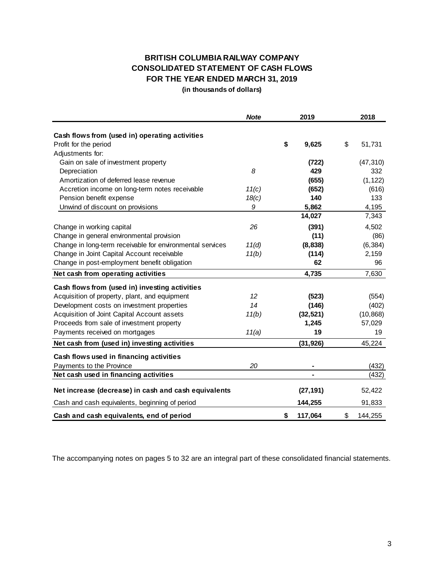# **BRITISH COLUMBIA RAILWAY COMPANY CONSOLIDATED STATEMENT OF CASH FLOWS FOR THE YEAR ENDED MARCH 31, 2019**

**(in thousands of dollars)**

| <b>Note</b>                                               |       | 2019           | 2018          |  |
|-----------------------------------------------------------|-------|----------------|---------------|--|
| Cash flows from (used in) operating activities            |       |                |               |  |
| Profit for the period                                     |       | \$<br>9,625    | \$<br>51,731  |  |
| Adjustments for:                                          |       |                |               |  |
| Gain on sale of investment property                       |       | (722)          | (47, 310)     |  |
| Depreciation                                              | 8     | 429            | 332           |  |
| Amortization of deferred lease revenue                    |       | (655)          | (1, 122)      |  |
| Accretion income on long-term notes receivable            | 11(c) | (652)          | (616)         |  |
| Pension benefit expense                                   | 18(c) | 140            | 133           |  |
| Unwind of discount on provisions                          | 9     | 5,862          | 4,195         |  |
|                                                           |       | 14,027         | 7,343         |  |
| Change in working capital                                 | 26    | (391)          | 4,502         |  |
| Change in general environmental provision                 |       | (11)           | (86)          |  |
| Change in long-term receivable for environmental services | 11(d) | (8,838)        | (6, 384)      |  |
| Change in Joint Capital Account receivable                | 11(b) | (114)          | 2,159         |  |
| Change in post-employment benefit obligation              |       | 62             | 96            |  |
| Net cash from operating activities                        |       | 4,735          | 7,630         |  |
| Cash flows from (used in) investing activities            |       |                |               |  |
| Acquisition of property, plant, and equipment             | 12    | (523)          | (554)         |  |
| Development costs on investment properties                | 14    | (146)          | (402)         |  |
| Acquisition of Joint Capital Account assets               | 11(b) | (32, 521)      | (10, 868)     |  |
| Proceeds from sale of investment property                 |       | 1,245          | 57,029        |  |
| Payments received on mortgages                            | 11(a) | 19             | 19            |  |
| Net cash from (used in) investing activities              |       | (31, 926)      | 45,224        |  |
| Cash flows used in financing activities                   |       |                |               |  |
| Payments to the Province                                  | 20    |                | (432)         |  |
| Net cash used in financing activities                     |       | $\blacksquare$ | (432)         |  |
|                                                           |       |                |               |  |
| Net increase (decrease) in cash and cash equivalents      |       | (27, 191)      | 52,422        |  |
| Cash and cash equivalents, beginning of period            |       | 144,255        | 91,833        |  |
| Cash and cash equivalents, end of period                  |       | \$<br>117,064  | \$<br>144,255 |  |

The accompanying notes on pages 5 to 32 are an integral part of these consolidated financial statements.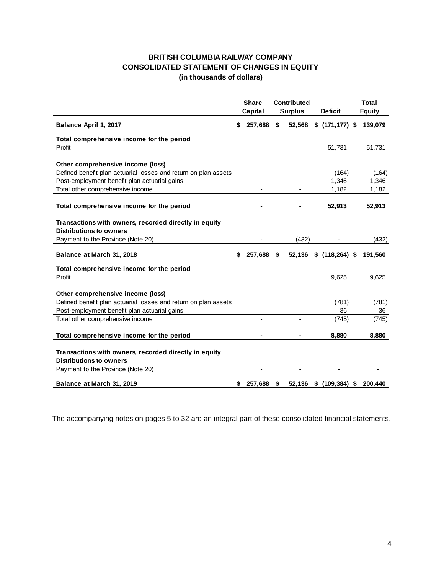# **BRITISH COLUMBIA RAILWAY COMPANY CONSOLIDATED STATEMENT OF CHANGES IN EQUITY (in thousands of dollars)**

|                                                                                         | <b>Share</b><br>Capital |    | <b>Contributed</b><br><b>Surplus</b> | <b>Deficit</b>    | Total<br><b>Equity</b> |
|-----------------------------------------------------------------------------------------|-------------------------|----|--------------------------------------|-------------------|------------------------|
| Balance April 1, 2017                                                                   | \$<br>257,688           | S. | 52,568                               | $$$ (171,177) $$$ | 139,079                |
| Total comprehensive income for the period                                               |                         |    |                                      |                   |                        |
| Profit                                                                                  |                         |    |                                      | 51,731            | 51,731                 |
| Other comprehensive income (loss)                                                       |                         |    |                                      |                   |                        |
| Defined benefit plan actuarial losses and return on plan assets                         |                         |    |                                      | (164)             | (164)                  |
| Post-employment benefit plan actuarial gains                                            |                         |    |                                      | 1,346             | 1,346                  |
| Total other comprehensive income                                                        |                         |    |                                      | 1,182             | 1,182                  |
|                                                                                         |                         |    |                                      |                   |                        |
| Total comprehensive income for the period                                               |                         |    |                                      | 52,913            | 52,913                 |
|                                                                                         |                         |    |                                      |                   |                        |
| Transactions with owners, recorded directly in equity                                   |                         |    |                                      |                   |                        |
| <b>Distributions to owners</b>                                                          |                         |    |                                      |                   |                        |
| Payment to the Province (Note 20)                                                       |                         |    | (432)                                |                   | (432)                  |
| Balance at March 31, 2018                                                               | \$<br>257,688           | \$ | 52,136                               | $$$ (118,264) \$  | 191,560                |
| Total comprehensive income for the period                                               |                         |    |                                      |                   |                        |
| Profit                                                                                  |                         |    |                                      | 9,625             | 9,625                  |
|                                                                                         |                         |    |                                      |                   |                        |
| Other comprehensive income (loss)                                                       |                         |    |                                      |                   |                        |
| Defined benefit plan actuarial losses and return on plan assets                         |                         |    |                                      | (781)             | (781)                  |
| Post-employment benefit plan actuarial gains                                            |                         |    |                                      | 36                | 36                     |
| Total other comprehensive income                                                        |                         |    |                                      | (745)             | (745)                  |
|                                                                                         |                         |    |                                      |                   |                        |
| Total comprehensive income for the period                                               |                         |    |                                      | 8,880             | 8,880                  |
|                                                                                         |                         |    |                                      |                   |                        |
| Transactions with owners, recorded directly in equity<br><b>Distributions to owners</b> |                         |    |                                      |                   |                        |
| Payment to the Province (Note 20)                                                       |                         |    |                                      |                   |                        |
|                                                                                         |                         |    |                                      |                   |                        |
| Balance at March 31, 2019                                                               | \$<br>257,688           | \$ | 52,136                               | $$(109, 384)$ \$  | 200.440                |

The accompanying notes on pages 5 to 32 are an integral part of these consolidated financial statements.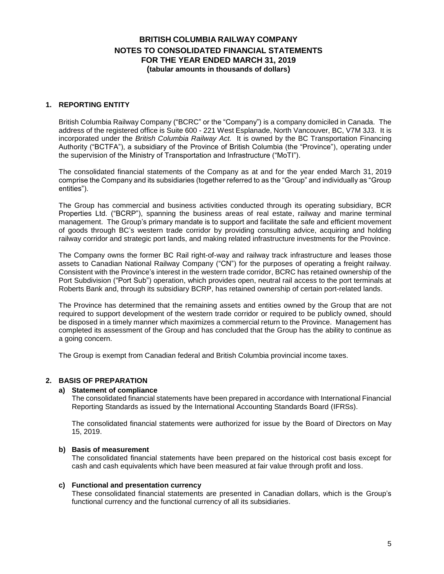#### **1. REPORTING ENTITY**

British Columbia Railway Company ("BCRC" or the "Company") is a company domiciled in Canada. The address of the registered office is Suite 600 - 221 West Esplanade, North Vancouver, BC, V7M 3J3. It is incorporated under the *British Columbia Railway Act.* It is owned by the BC Transportation Financing Authority ("BCTFA"), a subsidiary of the Province of British Columbia (the "Province"), operating under the supervision of the Ministry of Transportation and Infrastructure ("MoTI").

The consolidated financial statements of the Company as at and for the year ended March 31, 2019 comprise the Company and its subsidiaries (together referred to as the "Group" and individually as "Group entities").

The Group has commercial and business activities conducted through its operating subsidiary, BCR Properties Ltd. ("BCRP"), spanning the business areas of real estate, railway and marine terminal management. The Group's primary mandate is to support and facilitate the safe and efficient movement of goods through BC's western trade corridor by providing consulting advice, acquiring and holding railway corridor and strategic port lands, and making related infrastructure investments for the Province.

The Company owns the former BC Rail right-of-way and railway track infrastructure and leases those assets to Canadian National Railway Company ("CN") for the purposes of operating a freight railway. Consistent with the Province's interest in the western trade corridor, BCRC has retained ownership of the Port Subdivision ("Port Sub") operation, which provides open, neutral rail access to the port terminals at Roberts Bank and, through its subsidiary BCRP, has retained ownership of certain port-related lands.

The Province has determined that the remaining assets and entities owned by the Group that are not required to support development of the western trade corridor or required to be publicly owned, should be disposed in a timely manner which maximizes a commercial return to the Province. Management has completed its assessment of the Group and has concluded that the Group has the ability to continue as a going concern.

The Group is exempt from Canadian federal and British Columbia provincial income taxes.

#### **2. BASIS OF PREPARATION**

#### **a) Statement of compliance**

The consolidated financial statements have been prepared in accordance with International Financial Reporting Standards as issued by the International Accounting Standards Board (IFRSs).

The consolidated financial statements were authorized for issue by the Board of Directors on May 15, 2019.

#### **b) Basis of measurement**

The consolidated financial statements have been prepared on the historical cost basis except for cash and cash equivalents which have been measured at fair value through profit and loss.

#### **c) Functional and presentation currency**

These consolidated financial statements are presented in Canadian dollars, which is the Group's functional currency and the functional currency of all its subsidiaries.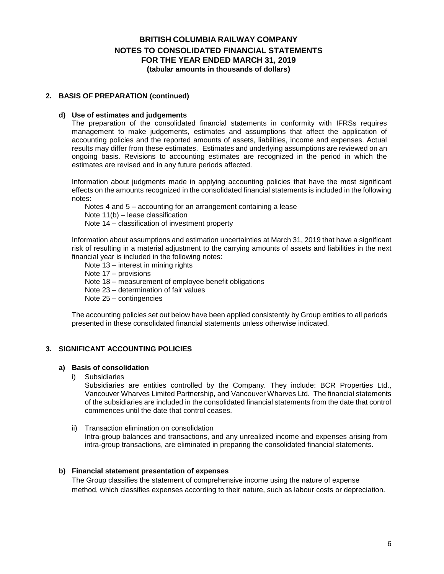### **2. BASIS OF PREPARATION (continued)**

#### **d) Use of estimates and judgements**

The preparation of the consolidated financial statements in conformity with IFRSs requires management to make judgements, estimates and assumptions that affect the application of accounting policies and the reported amounts of assets, liabilities, income and expenses. Actual results may differ from these estimates. Estimates and underlying assumptions are reviewed on an ongoing basis. Revisions to accounting estimates are recognized in the period in which the estimates are revised and in any future periods affected.

Information about judgments made in applying accounting policies that have the most significant effects on the amounts recognized in the consolidated financial statements is included in the following notes:

Notes 4 and 5 – accounting for an arrangement containing a lease Note 11(b) – lease classification

Note 14 – classification of investment property

Information about assumptions and estimation uncertainties at March 31, 2019 that have a significant risk of resulting in a material adjustment to the carrying amounts of assets and liabilities in the next financial year is included in the following notes:

Note 13 – interest in mining rights

Note 17 – provisions

Note 18 – measurement of employee benefit obligations

Note 23 – determination of fair values

Note 25 – contingencies

The accounting policies set out below have been applied consistently by Group entities to all periods presented in these consolidated financial statements unless otherwise indicated.

### **3. SIGNIFICANT ACCOUNTING POLICIES**

#### **a) Basis of consolidation**

i) Subsidiaries

Subsidiaries are entities controlled by the Company. They include: BCR Properties Ltd., Vancouver Wharves Limited Partnership, and Vancouver Wharves Ltd. The financial statements of the subsidiaries are included in the consolidated financial statements from the date that control commences until the date that control ceases.

ii) Transaction elimination on consolidation Intra-group balances and transactions, and any unrealized income and expenses arising from intra-group transactions, are eliminated in preparing the consolidated financial statements.

#### **b) Financial statement presentation of expenses**

The Group classifies the statement of comprehensive income using the nature of expense method, which classifies expenses according to their nature, such as labour costs or depreciation.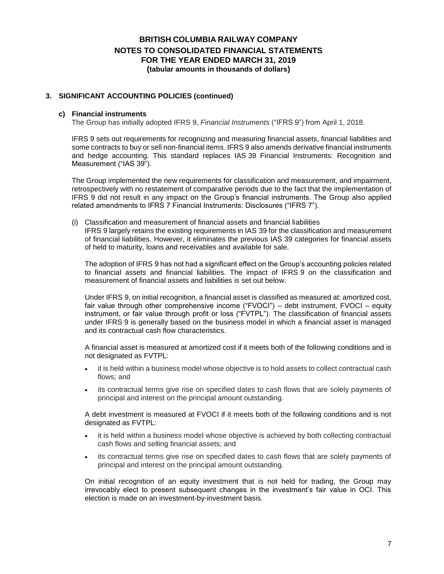### **3. SIGNIFICANT ACCOUNTING POLICIES (continued)**

#### **c) Financial instruments**

The Group has initially adopted IFRS 9, *Financial Instruments* ("IFRS 9") from April 1, 2018.

IFRS 9 sets out requirements for recognizing and measuring financial assets, financial liabilities and some contracts to buy or sell non-financial items. IFRS 9 also amends derivative financial instruments and hedge accounting. This standard replaces IAS 39 Financial Instruments: Recognition and Measurement ("IAS 39").

The Group implemented the new requirements for classification and measurement, and impairment, retrospectively with no restatement of comparative periods due to the fact that the implementation of IFRS 9 did not result in any impact on the Group's financial instruments. The Group also applied related amendments to IFRS 7 Financial Instruments: Disclosures ("IFRS 7").

(i) Classification and measurement of financial assets and financial liabilities IFRS 9 largely retains the existing requirements in IAS 39 for the classification and measurement of financial liabilities. However, it eliminates the previous IAS 39 categories for financial assets of held to maturity, loans and receivables and available for sale.

The adoption of IFRS 9 has not had a significant effect on the Group's accounting policies related to financial assets and financial liabilities. The impact of IFRS 9 on the classification and measurement of financial assets and liabilities is set out below.

Under IFRS 9, on initial recognition, a financial asset is classified as measured at: amortized cost, fair value through other comprehensive income ("FVOCI") – debt instrument, FVOCI – equity instrument, or fair value through profit or loss ("FVTPL"). The classification of financial assets under IFRS 9 is generally based on the business model in which a financial asset is managed and its contractual cash flow characteristics.

A financial asset is measured at amortized cost if it meets both of the following conditions and is not designated as FVTPL:

- it is held within a business model whose objective is to hold assets to collect contractual cash flows; and
- its contractual terms give rise on specified dates to cash flows that are solely payments of principal and interest on the principal amount outstanding.

A debt investment is measured at FVOCI if it meets both of the following conditions and is not designated as FVTPL:

- it is held within a business model whose objective is achieved by both collecting contractual cash flows and selling financial assets; and
- its contractual terms give rise on specified dates to cash flows that are solely payments of principal and interest on the principal amount outstanding.

On initial recognition of an equity investment that is not held for trading, the Group may irrevocably elect to present subsequent changes in the investment's fair value in OCI. This election is made on an investment-by-investment basis.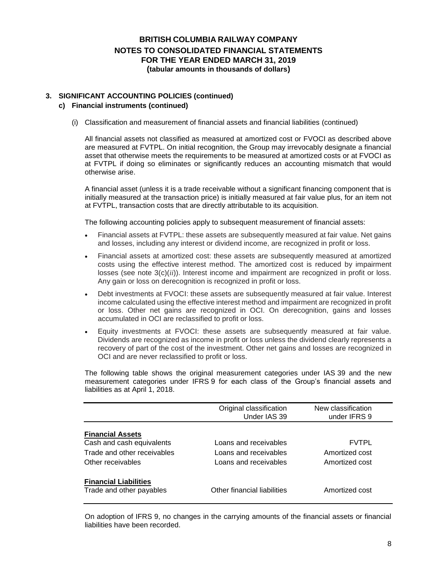### **3. SIGNIFICANT ACCOUNTING POLICIES (continued)**

### **c) Financial instruments (continued)**

(i) Classification and measurement of financial assets and financial liabilities (continued)

All financial assets not classified as measured at amortized cost or FVOCI as described above are measured at FVTPL. On initial recognition, the Group may irrevocably designate a financial asset that otherwise meets the requirements to be measured at amortized costs or at FVOCI as at FVTPL if doing so eliminates or significantly reduces an accounting mismatch that would otherwise arise.

A financial asset (unless it is a trade receivable without a significant financing component that is initially measured at the transaction price) is initially measured at fair value plus, for an item not at FVTPL, transaction costs that are directly attributable to its acquisition.

The following accounting policies apply to subsequent measurement of financial assets:

- Financial assets at FVTPL: these assets are subsequently measured at fair value. Net gains and losses, including any interest or dividend income, are recognized in profit or loss.
- Financial assets at amortized cost: these assets are subsequently measured at amortized costs using the effective interest method. The amortized cost is reduced by impairment losses (see note 3(c)(*ii*)). Interest income and impairment are recognized in profit or loss. Any gain or loss on derecognition is recognized in profit or loss.
- Debt investments at FVOCI: these assets are subsequently measured at fair value. Interest income calculated using the effective interest method and impairment are recognized in profit or loss. Other net gains are recognized in OCI. On derecognition, gains and losses accumulated in OCI are reclassified to profit or loss.
- Equity investments at FVOCI: these assets are subsequently measured at fair value. Dividends are recognized as income in profit or loss unless the dividend clearly represents a recovery of part of the cost of the investment. Other net gains and losses are recognized in OCI and are never reclassified to profit or loss.

The following table shows the original measurement categories under IAS 39 and the new measurement categories under IFRS 9 for each class of the Group's financial assets and liabilities as at April 1, 2018.

|                              | Original classification<br>Under IAS 39 | New classification<br>under IFRS 9 |
|------------------------------|-----------------------------------------|------------------------------------|
| <b>Financial Assets</b>      |                                         |                                    |
| Cash and cash equivalents    | Loans and receivables                   | <b>FVTPL</b>                       |
| Trade and other receivables  | Loans and receivables                   | Amortized cost                     |
| Other receivables            | Loans and receivables                   | Amortized cost                     |
| <b>Financial Liabilities</b> |                                         |                                    |
| Trade and other payables     | Other financial liabilities             | Amortized cost                     |

On adoption of IFRS 9, no changes in the carrying amounts of the financial assets or financial liabilities have been recorded.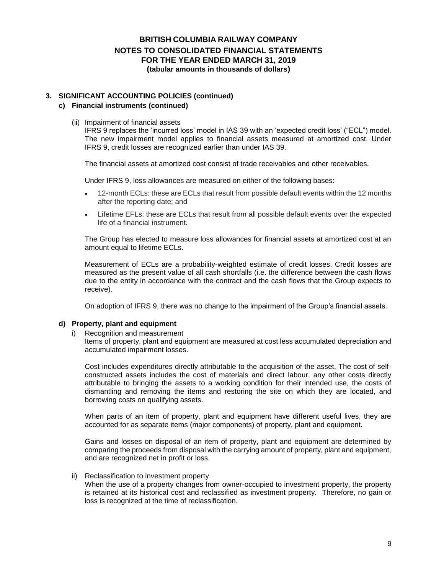### **3. SIGNIFICANT ACCOUNTING POLICIES (continued)**

#### **c) Financial instruments (continued)**

(ii) Impairment of financial assets

IFRS 9 replaces the 'incurred loss' model in IAS 39 with an 'expected credit loss' ("ECL") model. The new impairment model applies to financial assets measured at amortized cost. Under IFRS 9, credit losses are recognized earlier than under IAS 39.

The financial assets at amortized cost consist of trade receivables and other receivables.

Under IFRS 9, loss allowances are measured on either of the following bases:

- 12-month ECLs: these are ECLs that result from possible default events within the 12 months after the reporting date; and
- Lifetime EFLs: these are ECLs that result from all possible default events over the expected life of a financial instrument.

The Group has elected to measure loss allowances for financial assets at amortized cost at an amount equal to lifetime ECLs.

Measurement of ECLs are a probability-weighted estimate of credit losses. Credit losses are measured as the present value of all cash shortfalls (i.e. the difference between the cash flows due to the entity in accordance with the contract and the cash flows that the Group expects to receive).

On adoption of IFRS 9, there was no change to the impairment of the Group's financial assets.

#### **d) Property, plant and equipment**

i) Recognition and measurement

Items of property, plant and equipment are measured at cost less accumulated depreciation and accumulated impairment losses.

Cost includes expenditures directly attributable to the acquisition of the asset. The cost of selfconstructed assets includes the cost of materials and direct labour, any other costs directly attributable to bringing the assets to a working condition for their intended use, the costs of dismantling and removing the items and restoring the site on which they are located, and borrowing costs on qualifying assets.

When parts of an item of property, plant and equipment have different useful lives, they are accounted for as separate items (major components) of property, plant and equipment.

Gains and losses on disposal of an item of property, plant and equipment are determined by comparing the proceeds from disposal with the carrying amount of property, plant and equipment, and are recognized net in profit or loss.

#### ii) Reclassification to investment property

When the use of a property changes from owner-occupied to investment property, the property is retained at its historical cost and reclassified as investment property. Therefore, no gain or loss is recognized at the time of reclassification.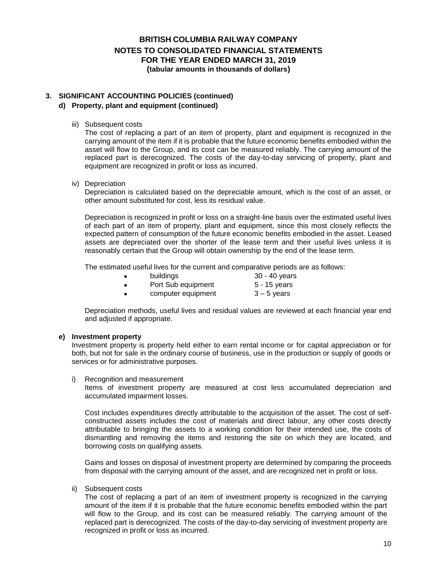#### **3. SIGNIFICANT ACCOUNTING POLICIES (continued) d) Property, plant and equipment (continued)**

iii) Subsequent costs

The cost of replacing a part of an item of property, plant and equipment is recognized in the carrying amount of the item if it is probable that the future economic benefits embodied within the asset will flow to the Group, and its cost can be measured reliably. The carrying amount of the replaced part is derecognized. The costs of the day-to-day servicing of property, plant and equipment are recognized in profit or loss as incurred.

iv) Depreciation

Depreciation is calculated based on the depreciable amount, which is the cost of an asset, or other amount substituted for cost, less its residual value.

Depreciation is recognized in profit or loss on a straight-line basis over the estimated useful lives of each part of an item of property, plant and equipment, since this most closely reflects the expected pattern of consumption of the future economic benefits embodied in the asset. Leased assets are depreciated over the shorter of the lease term and their useful lives unless it is reasonably certain that the Group will obtain ownership by the end of the lease term.

The estimated useful lives for the current and comparative periods are as follows:

| buildings          | 30 - 40 years |
|--------------------|---------------|
| Port Sub equipment | 5 - 15 years  |
| computer equipment | $3 - 5$ years |

Depreciation methods, useful lives and residual values are reviewed at each financial year end and adjusted if appropriate.

#### **e) Investment property**

Investment property is property held either to earn rental income or for capital appreciation or for both, but not for sale in the ordinary course of business, use in the production or supply of goods or services or for administrative purposes.

i) Recognition and measurement

Items of investment property are measured at cost less accumulated depreciation and accumulated impairment losses.

Cost includes expenditures directly attributable to the acquisition of the asset. The cost of selfconstructed assets includes the cost of materials and direct labour, any other costs directly attributable to bringing the assets to a working condition for their intended use, the costs of dismantling and removing the items and restoring the site on which they are located, and borrowing costs on qualifying assets.

Gains and losses on disposal of investment property are determined by comparing the proceeds from disposal with the carrying amount of the asset, and are recognized net in profit or loss.

#### ii) Subsequent costs

The cost of replacing a part of an item of investment property is recognized in the carrying amount of the item if it is probable that the future economic benefits embodied within the part will flow to the Group, and its cost can be measured reliably. The carrying amount of the replaced part is derecognized. The costs of the day-to-day servicing of investment property are recognized in profit or loss as incurred.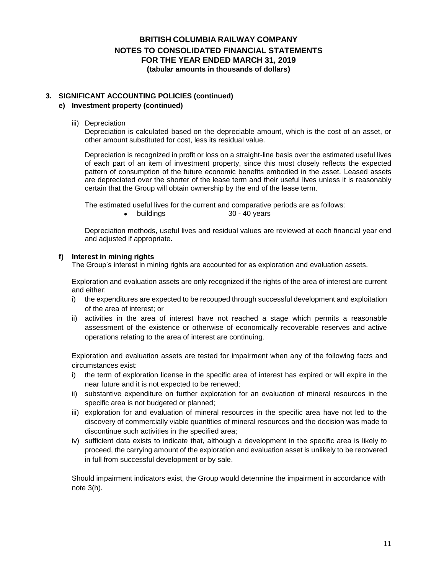# **3. SIGNIFICANT ACCOUNTING POLICIES (continued)**

### **e) Investment property (continued)**

iii) Depreciation

Depreciation is calculated based on the depreciable amount, which is the cost of an asset, or other amount substituted for cost, less its residual value.

Depreciation is recognized in profit or loss on a straight-line basis over the estimated useful lives of each part of an item of investment property, since this most closely reflects the expected pattern of consumption of the future economic benefits embodied in the asset. Leased assets are depreciated over the shorter of the lease term and their useful lives unless it is reasonably certain that the Group will obtain ownership by the end of the lease term.

The estimated useful lives for the current and comparative periods are as follows:

• buildings 30 - 40 years

Depreciation methods, useful lives and residual values are reviewed at each financial year end and adjusted if appropriate.

### **f) Interest in mining rights**

The Group's interest in mining rights are accounted for as exploration and evaluation assets.

Exploration and evaluation assets are only recognized if the rights of the area of interest are current and either:

- i) the expenditures are expected to be recouped through successful development and exploitation of the area of interest; or
- ii) activities in the area of interest have not reached a stage which permits a reasonable assessment of the existence or otherwise of economically recoverable reserves and active operations relating to the area of interest are continuing.

Exploration and evaluation assets are tested for impairment when any of the following facts and circumstances exist:

- i) the term of exploration license in the specific area of interest has expired or will expire in the near future and it is not expected to be renewed;
- ii) substantive expenditure on further exploration for an evaluation of mineral resources in the specific area is not budgeted or planned;
- iii) exploration for and evaluation of mineral resources in the specific area have not led to the discovery of commercially viable quantities of mineral resources and the decision was made to discontinue such activities in the specified area;
- iv) sufficient data exists to indicate that, although a development in the specific area is likely to proceed, the carrying amount of the exploration and evaluation asset is unlikely to be recovered in full from successful development or by sale.

Should impairment indicators exist, the Group would determine the impairment in accordance with note 3(h).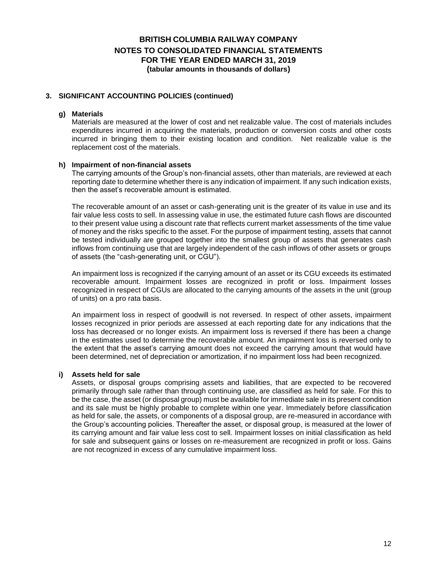### **3. SIGNIFICANT ACCOUNTING POLICIES (continued)**

#### **g) Materials**

Materials are measured at the lower of cost and net realizable value. The cost of materials includes expenditures incurred in acquiring the materials, production or conversion costs and other costs incurred in bringing them to their existing location and condition. Net realizable value is the replacement cost of the materials.

#### **h) Impairment of non-financial assets**

The carrying amounts of the Group's non-financial assets, other than materials, are reviewed at each reporting date to determine whether there is any indication of impairment. If any such indication exists, then the asset's recoverable amount is estimated.

The recoverable amount of an asset or cash-generating unit is the greater of its value in use and its fair value less costs to sell. In assessing value in use, the estimated future cash flows are discounted to their present value using a discount rate that reflects current market assessments of the time value of money and the risks specific to the asset. For the purpose of impairment testing, assets that cannot be tested individually are grouped together into the smallest group of assets that generates cash inflows from continuing use that are largely independent of the cash inflows of other assets or groups of assets (the "cash-generating unit, or CGU").

An impairment loss is recognized if the carrying amount of an asset or its CGU exceeds its estimated recoverable amount. Impairment losses are recognized in profit or loss. Impairment losses recognized in respect of CGUs are allocated to the carrying amounts of the assets in the unit (group of units) on a pro rata basis.

An impairment loss in respect of goodwill is not reversed. In respect of other assets, impairment losses recognized in prior periods are assessed at each reporting date for any indications that the loss has decreased or no longer exists. An impairment loss is reversed if there has been a change in the estimates used to determine the recoverable amount. An impairment loss is reversed only to the extent that the asset's carrying amount does not exceed the carrying amount that would have been determined, net of depreciation or amortization, if no impairment loss had been recognized.

#### **i) Assets held for sale**

Assets, or disposal groups comprising assets and liabilities, that are expected to be recovered primarily through sale rather than through continuing use, are classified as held for sale. For this to be the case, the asset (or disposal group) must be available for immediate sale in its present condition and its sale must be highly probable to complete within one year. Immediately before classification as held for sale, the assets, or components of a disposal group, are re-measured in accordance with the Group's accounting policies. Thereafter the asset, or disposal group, is measured at the lower of its carrying amount and fair value less cost to sell. Impairment losses on initial classification as held for sale and subsequent gains or losses on re-measurement are recognized in profit or loss. Gains are not recognized in excess of any cumulative impairment loss.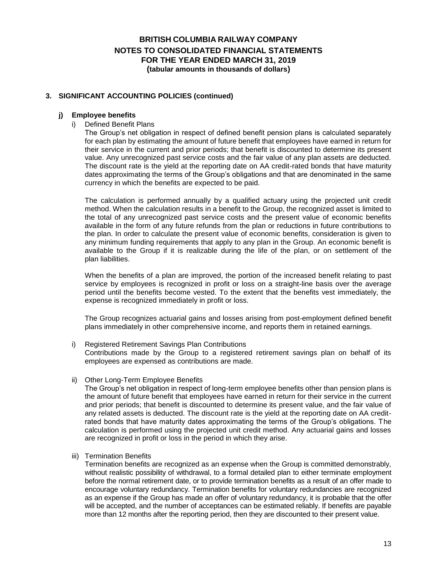### **3. SIGNIFICANT ACCOUNTING POLICIES (continued)**

#### **j) Employee benefits**

i) Defined Benefit Plans

The Group's net obligation in respect of defined benefit pension plans is calculated separately for each plan by estimating the amount of future benefit that employees have earned in return for their service in the current and prior periods; that benefit is discounted to determine its present value. Any unrecognized past service costs and the fair value of any plan assets are deducted. The discount rate is the yield at the reporting date on AA credit-rated bonds that have maturity dates approximating the terms of the Group's obligations and that are denominated in the same currency in which the benefits are expected to be paid.

The calculation is performed annually by a qualified actuary using the projected unit credit method. When the calculation results in a benefit to the Group, the recognized asset is limited to the total of any unrecognized past service costs and the present value of economic benefits available in the form of any future refunds from the plan or reductions in future contributions to the plan. In order to calculate the present value of economic benefits, consideration is given to any minimum funding requirements that apply to any plan in the Group. An economic benefit is available to the Group if it is realizable during the life of the plan, or on settlement of the plan liabilities.

When the benefits of a plan are improved, the portion of the increased benefit relating to past service by employees is recognized in profit or loss on a straight-line basis over the average period until the benefits become vested. To the extent that the benefits vest immediately, the expense is recognized immediately in profit or loss.

The Group recognizes actuarial gains and losses arising from post-employment defined benefit plans immediately in other comprehensive income, and reports them in retained earnings.

#### i) Registered Retirement Savings Plan Contributions

Contributions made by the Group to a registered retirement savings plan on behalf of its employees are expensed as contributions are made.

#### ii) Other Long-Term Employee Benefits

The Group's net obligation in respect of long-term employee benefits other than pension plans is the amount of future benefit that employees have earned in return for their service in the current and prior periods; that benefit is discounted to determine its present value, and the fair value of any related assets is deducted. The discount rate is the yield at the reporting date on AA creditrated bonds that have maturity dates approximating the terms of the Group's obligations. The calculation is performed using the projected unit credit method. Any actuarial gains and losses are recognized in profit or loss in the period in which they arise.

iii) Termination Benefits

Termination benefits are recognized as an expense when the Group is committed demonstrably, without realistic possibility of withdrawal, to a formal detailed plan to either terminate employment before the normal retirement date, or to provide termination benefits as a result of an offer made to encourage voluntary redundancy. Termination benefits for voluntary redundancies are recognized as an expense if the Group has made an offer of voluntary redundancy, it is probable that the offer will be accepted, and the number of acceptances can be estimated reliably. If benefits are payable more than 12 months after the reporting period, then they are discounted to their present value.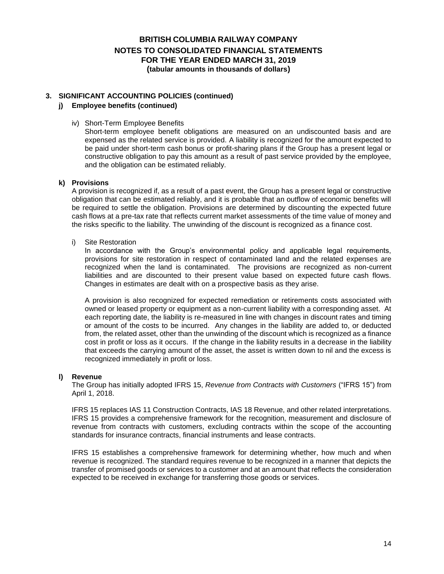### **3. SIGNIFICANT ACCOUNTING POLICIES (continued)**

### **j) Employee benefits (continued)**

iv) Short-Term Employee Benefits

Short-term employee benefit obligations are measured on an undiscounted basis and are expensed as the related service is provided. A liability is recognized for the amount expected to be paid under short-term cash bonus or profit-sharing plans if the Group has a present legal or constructive obligation to pay this amount as a result of past service provided by the employee, and the obligation can be estimated reliably.

#### **k) Provisions**

A provision is recognized if, as a result of a past event, the Group has a present legal or constructive obligation that can be estimated reliably, and it is probable that an outflow of economic benefits will be required to settle the obligation. Provisions are determined by discounting the expected future cash flows at a pre-tax rate that reflects current market assessments of the time value of money and the risks specific to the liability. The unwinding of the discount is recognized as a finance cost.

i) Site Restoration

In accordance with the Group's environmental policy and applicable legal requirements, provisions for site restoration in respect of contaminated land and the related expenses are recognized when the land is contaminated. The provisions are recognized as non-current liabilities and are discounted to their present value based on expected future cash flows. Changes in estimates are dealt with on a prospective basis as they arise.

A provision is also recognized for expected remediation or retirements costs associated with owned or leased property or equipment as a non-current liability with a corresponding asset. At each reporting date, the liability is re-measured in line with changes in discount rates and timing or amount of the costs to be incurred. Any changes in the liability are added to, or deducted from, the related asset, other than the unwinding of the discount which is recognized as a finance cost in profit or loss as it occurs. If the change in the liability results in a decrease in the liability that exceeds the carrying amount of the asset, the asset is written down to nil and the excess is recognized immediately in profit or loss.

### **l) Revenue**

The Group has initially adopted IFRS 15, *Revenue from Contracts with Customers* ("IFRS 15") from April 1, 2018.

IFRS 15 replaces IAS 11 Construction Contracts, IAS 18 Revenue, and other related interpretations. IFRS 15 provides a comprehensive framework for the recognition, measurement and disclosure of revenue from contracts with customers, excluding contracts within the scope of the accounting standards for insurance contracts, financial instruments and lease contracts.

IFRS 15 establishes a comprehensive framework for determining whether, how much and when revenue is recognized. The standard requires revenue to be recognized in a manner that depicts the transfer of promised goods or services to a customer and at an amount that reflects the consideration expected to be received in exchange for transferring those goods or services.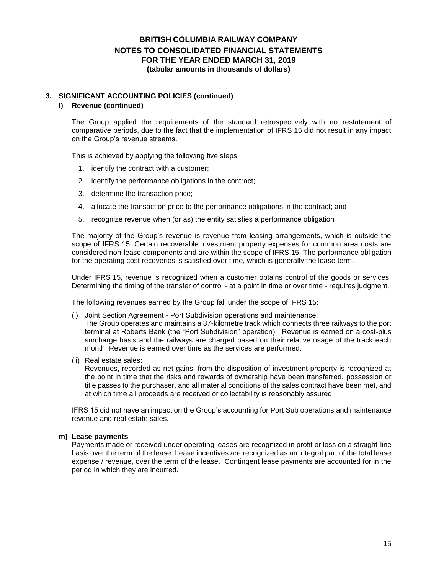#### **3. SIGNIFICANT ACCOUNTING POLICIES (continued)**

#### **l) Revenue (continued)**

The Group applied the requirements of the standard retrospectively with no restatement of comparative periods, due to the fact that the implementation of IFRS 15 did not result in any impact on the Group's revenue streams.

This is achieved by applying the following five steps:

- 1. identify the contract with a customer;
- 2. identify the performance obligations in the contract;
- 3. determine the transaction price;
- 4. allocate the transaction price to the performance obligations in the contract; and
- 5. recognize revenue when (or as) the entity satisfies a performance obligation

The majority of the Group's revenue is revenue from leasing arrangements, which is outside the scope of IFRS 15. Certain recoverable investment property expenses for common area costs are considered non-lease components and are within the scope of IFRS 15. The performance obligation for the operating cost recoveries is satisfied over time, which is generally the lease term.

Under IFRS 15, revenue is recognized when a customer obtains control of the goods or services. Determining the timing of the transfer of control - at a point in time or over time - requires judgment.

The following revenues earned by the Group fall under the scope of IFRS 15:

(i) Joint Section Agreement - Port Subdivision operations and maintenance:

The Group operates and maintains a 37-kilometre track which connects three railways to the port terminal at Roberts Bank (the "Port Subdivision" operation). Revenue is earned on a cost-plus surcharge basis and the railways are charged based on their relative usage of the track each month. Revenue is earned over time as the services are performed.

(ii) Real estate sales:

Revenues, recorded as net gains, from the disposition of investment property is recognized at the point in time that the risks and rewards of ownership have been transferred, possession or title passes to the purchaser, and all material conditions of the sales contract have been met, and at which time all proceeds are received or collectability is reasonably assured.

IFRS 15 did not have an impact on the Group's accounting for Port Sub operations and maintenance revenue and real estate sales.

#### **m) Lease payments**

Payments made or received under operating leases are recognized in profit or loss on a straight-line basis over the term of the lease. Lease incentives are recognized as an integral part of the total lease expense / revenue, over the term of the lease. Contingent lease payments are accounted for in the period in which they are incurred.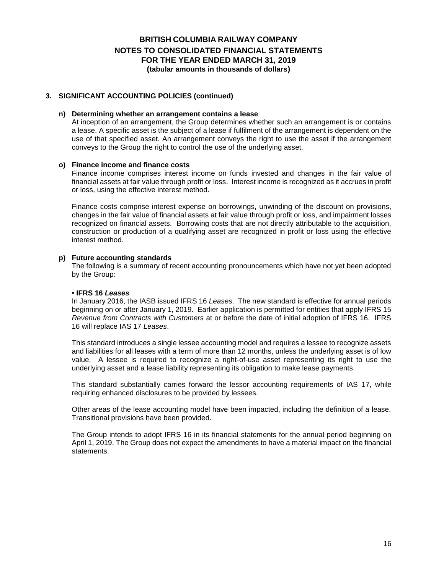#### **3. SIGNIFICANT ACCOUNTING POLICIES (continued)**

#### **n) Determining whether an arrangement contains a lease**

At inception of an arrangement, the Group determines whether such an arrangement is or contains a lease. A specific asset is the subject of a lease if fulfilment of the arrangement is dependent on the use of that specified asset. An arrangement conveys the right to use the asset if the arrangement conveys to the Group the right to control the use of the underlying asset.

#### **o) Finance income and finance costs**

Finance income comprises interest income on funds invested and changes in the fair value of financial assets at fair value through profit or loss. Interest income is recognized as it accrues in profit or loss, using the effective interest method.

Finance costs comprise interest expense on borrowings, unwinding of the discount on provisions, changes in the fair value of financial assets at fair value through profit or loss, and impairment losses recognized on financial assets. Borrowing costs that are not directly attributable to the acquisition, construction or production of a qualifying asset are recognized in profit or loss using the effective interest method.

#### **p) Future accounting standards**

The following is a summary of recent accounting pronouncements which have not yet been adopted by the Group:

#### **• IFRS 16** *Leases*

In January 2016, the IASB issued IFRS 16 *Leases*. The new standard is effective for annual periods beginning on or after January 1, 2019. Earlier application is permitted for entities that apply IFRS 15 *Revenue from Contracts with Customers* at or before the date of initial adoption of IFRS 16. IFRS 16 will replace IAS 17 *Leases*.

This standard introduces a single lessee accounting model and requires a lessee to recognize assets and liabilities for all leases with a term of more than 12 months, unless the underlying asset is of low value. A lessee is required to recognize a right-of-use asset representing its right to use the underlying asset and a lease liability representing its obligation to make lease payments.

This standard substantially carries forward the lessor accounting requirements of IAS 17, while requiring enhanced disclosures to be provided by lessees.

Other areas of the lease accounting model have been impacted, including the definition of a lease. Transitional provisions have been provided.

The Group intends to adopt IFRS 16 in its financial statements for the annual period beginning on April 1, 2019. The Group does not expect the amendments to have a material impact on the financial statements.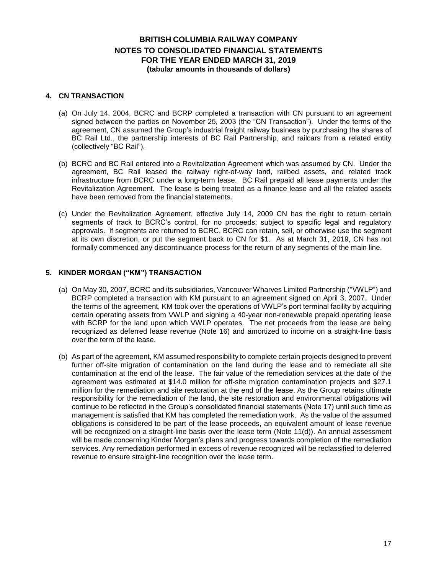### **4. CN TRANSACTION**

- (a) On July 14, 2004, BCRC and BCRP completed a transaction with CN pursuant to an agreement signed between the parties on November 25, 2003 (the "CN Transaction"). Under the terms of the agreement, CN assumed the Group's industrial freight railway business by purchasing the shares of BC Rail Ltd., the partnership interests of BC Rail Partnership, and railcars from a related entity (collectively "BC Rail").
- (b) BCRC and BC Rail entered into a Revitalization Agreement which was assumed by CN. Under the agreement, BC Rail leased the railway right-of-way land, railbed assets, and related track infrastructure from BCRC under a long-term lease. BC Rail prepaid all lease payments under the Revitalization Agreement. The lease is being treated as a finance lease and all the related assets have been removed from the financial statements.
- (c) Under the Revitalization Agreement, effective July 14, 2009 CN has the right to return certain segments of track to BCRC's control, for no proceeds; subject to specific legal and regulatory approvals. If segments are returned to BCRC, BCRC can retain, sell, or otherwise use the segment at its own discretion, or put the segment back to CN for \$1. As at March 31, 2019, CN has not formally commenced any discontinuance process for the return of any segments of the main line.

### **5. KINDER MORGAN ("KM") TRANSACTION**

- (a) On May 30, 2007, BCRC and its subsidiaries, Vancouver Wharves Limited Partnership ("VWLP") and BCRP completed a transaction with KM pursuant to an agreement signed on April 3, 2007. Under the terms of the agreement, KM took over the operations of VWLP's port terminal facility by acquiring certain operating assets from VWLP and signing a 40-year non-renewable prepaid operating lease with BCRP for the land upon which VWLP operates. The net proceeds from the lease are being recognized as deferred lease revenue (Note 16) and amortized to income on a straight-line basis over the term of the lease.
- (b) As part of the agreement, KM assumed responsibility to complete certain projects designed to prevent further off-site migration of contamination on the land during the lease and to remediate all site contamination at the end of the lease. The fair value of the remediation services at the date of the agreement was estimated at \$14.0 million for off-site migration contamination projects and \$27.1 million for the remediation and site restoration at the end of the lease. As the Group retains ultimate responsibility for the remediation of the land, the site restoration and environmental obligations will continue to be reflected in the Group's consolidated financial statements (Note 17) until such time as management is satisfied that KM has completed the remediation work. As the value of the assumed obligations is considered to be part of the lease proceeds, an equivalent amount of lease revenue will be recognized on a straight-line basis over the lease term (Note 11(d)). An annual assessment will be made concerning Kinder Morgan's plans and progress towards completion of the remediation services. Any remediation performed in excess of revenue recognized will be reclassified to deferred revenue to ensure straight-line recognition over the lease term.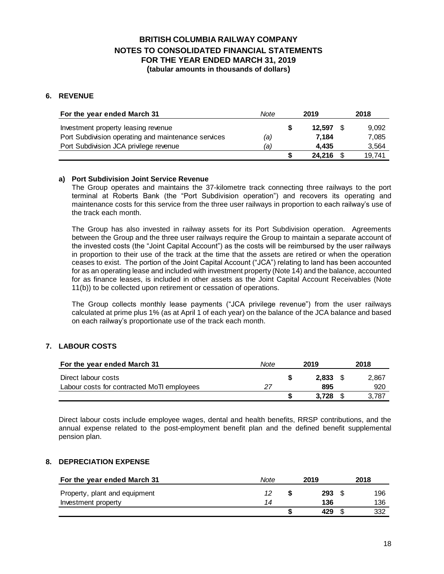### **6. REVENUE**

| For the year ended March 31                         | Note |   | 2019   | 2018 |        |  |
|-----------------------------------------------------|------|---|--------|------|--------|--|
| Investment property leasing revenue                 |      | S | 12.597 | -S   | 9,092  |  |
| Port Subdivision operating and maintenance services | (a)  |   | 7.184  |      | 7.085  |  |
| Port Subdivision JCA privilege revenue              | (a)  |   | 4.435  |      | 3,564  |  |
|                                                     |      |   | 24.216 |      | 19,741 |  |

### **a) Port Subdivision Joint Service Revenue**

The Group operates and maintains the 37-kilometre track connecting three railways to the port terminal at Roberts Bank (the "Port Subdivision operation") and recovers its operating and maintenance costs for this service from the three user railways in proportion to each railway's use of the track each month.

The Group has also invested in railway assets for its Port Subdivision operation. Agreements between the Group and the three user railways require the Group to maintain a separate account of the invested costs (the "Joint Capital Account") as the costs will be reimbursed by the user railways in proportion to their use of the track at the time that the assets are retired or when the operation ceases to exist. The portion of the Joint Capital Account ("JCA") relating to land has been accounted for as an operating lease and included with investment property (Note 14) and the balance, accounted for as finance leases, is included in other assets as the Joint Capital Account Receivables (Note 11(b)) to be collected upon retirement or cessation of operations.

The Group collects monthly lease payments ("JCA privilege revenue") from the user railways calculated at prime plus 1% (as at April 1 of each year) on the balance of the JCA balance and based on each railway's proportionate use of the track each month.

### **7. LABOUR COSTS**

| For the year ended March 31                | Note | 2019 |       |  | 2018  |  |
|--------------------------------------------|------|------|-------|--|-------|--|
| Direct labour costs                        |      |      | 2.833 |  | 2,867 |  |
| Labour costs for contracted MoTI employees | 27   |      | 895   |  | 920   |  |
|                                            |      |      | 3.728 |  | 3.787 |  |

Direct labour costs include employee wages, dental and health benefits, RRSP contributions, and the annual expense related to the post-employment benefit plan and the defined benefit supplemental pension plan.

### **8. DEPRECIATION EXPENSE**

| For the year ended March 31   | Note | 2019 | 2018 |
|-------------------------------|------|------|------|
| Property, plant and equipment | 12   | 293  | 196  |
| Investment property           | 14   | 136  | 136  |
|                               |      | 429  | 332  |
|                               |      |      |      |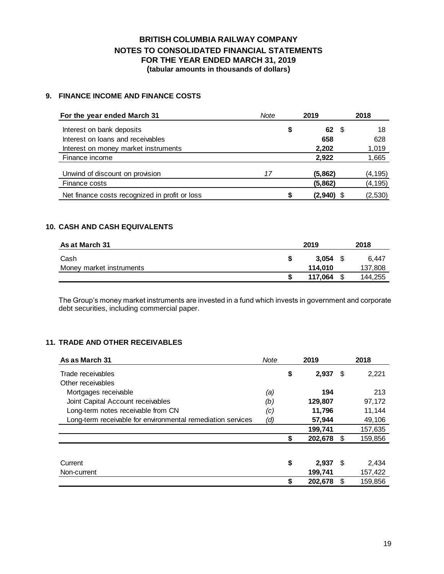# **9. FINANCE INCOME AND FINANCE COSTS**

| For the year ended March 31                    | Note |   | 2019    |      |          |  |  |  |  |  | 2018 |
|------------------------------------------------|------|---|---------|------|----------|--|--|--|--|--|------|
| Interest on bank deposits                      |      | S | 62      | - \$ | 18       |  |  |  |  |  |      |
| Interest on loans and receivables              |      |   | 658     |      | 628      |  |  |  |  |  |      |
| Interest on money market instruments           |      |   | 2,202   |      | 1,019    |  |  |  |  |  |      |
| Finance income                                 |      |   | 2,922   |      | 1,665    |  |  |  |  |  |      |
| Unwind of discount on provision                | 17   |   | (5,862) |      | (4, 195) |  |  |  |  |  |      |
| Finance costs                                  |      |   | (5,862) |      | (4, 195) |  |  |  |  |  |      |
| Net finance costs recognized in profit or loss |      |   | (2.940) |      | (2,530)  |  |  |  |  |  |      |

### **10. CASH AND CASH EQUIVALENTS**

| As at March 31           |    | 2019    | 2018 |         |  |
|--------------------------|----|---------|------|---------|--|
| Cash                     | S  | 3.054   | - \$ | 6.447   |  |
| Money market instruments |    | 114.010 |      | 137,808 |  |
|                          | \$ | 117.064 | \$   | 144.255 |  |

The Group's money market instruments are invested in a fund which invests in government and corporate debt securities, including commercial paper.

### **11. TRADE AND OTHER RECEIVABLES**

| As as March 31                                              | Note | 2019          | 2018          |
|-------------------------------------------------------------|------|---------------|---------------|
| Trade receivables                                           |      | \$<br>2,937   | \$<br>2,221   |
| Other receivables                                           |      |               |               |
| Mortgages receivable                                        | (a)  | 194           | 213           |
| Joint Capital Account receivables                           | (b)  | 129,807       | 97,172        |
| Long-term notes receivable from CN                          | (c)  | 11,796        | 11,144        |
| Long-term receivable for environmental remediation services | (d)  | 57,944        | 49,106        |
|                                                             |      | 199,741       | 157,635       |
|                                                             |      | \$<br>202,678 | \$<br>159,856 |
|                                                             |      |               |               |
| Current                                                     |      | \$<br>2,937   | \$<br>2,434   |
| Non-current                                                 |      | 199,741       | 157,422       |
|                                                             |      | \$<br>202,678 | \$<br>159,856 |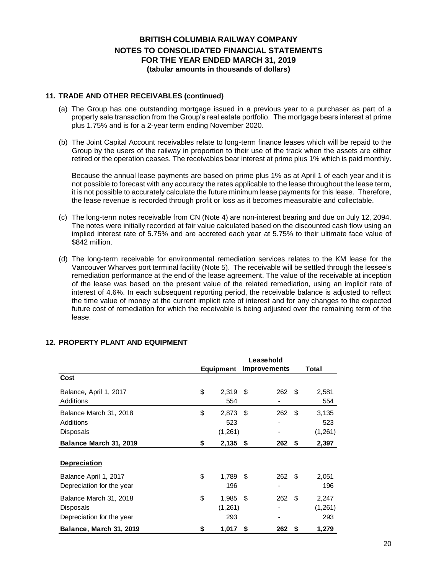### **11. TRADE AND OTHER RECEIVABLES (continued)**

- (a) The Group has one outstanding mortgage issued in a previous year to a purchaser as part of a property sale transaction from the Group's real estate portfolio. The mortgage bears interest at prime plus 1.75% and is for a 2-year term ending November 2020.
- (b) The Joint Capital Account receivables relate to long-term finance leases which will be repaid to the Group by the users of the railway in proportion to their use of the track when the assets are either retired or the operation ceases. The receivables bear interest at prime plus 1% which is paid monthly.

Because the annual lease payments are based on prime plus 1% as at April 1 of each year and it is not possible to forecast with any accuracy the rates applicable to the lease throughout the lease term, it is not possible to accurately calculate the future minimum lease payments for this lease. Therefore, the lease revenue is recorded through profit or loss as it becomes measurable and collectable.

- (c) The long-term notes receivable from CN (Note 4) are non-interest bearing and due on July 12, 2094. The notes were initially recorded at fair value calculated based on the discounted cash flow using an implied interest rate of 5.75% and are accreted each year at 5.75% to their ultimate face value of \$842 million.
- (d) The long-term receivable for environmental remediation services relates to the KM lease for the Vancouver Wharves port terminal facility (Note 5). The receivable will be settled through the lessee's remediation performance at the end of the lease agreement. The value of the receivable at inception of the lease was based on the present value of the related remediation, using an implicit rate of interest of 4.6%. In each subsequent reporting period, the receivable balance is adjusted to reflect the time value of money at the current implicit rate of interest and for any changes to the expected future cost of remediation for which the receivable is being adjusted over the remaining term of the lease.

|                           | Leasehold |                  |      |                     |      |         |  |  |  |  |
|---------------------------|-----------|------------------|------|---------------------|------|---------|--|--|--|--|
|                           |           | <b>Equipment</b> |      | <b>Improvements</b> |      | Total   |  |  |  |  |
| <b>Cost</b>               |           |                  |      |                     |      |         |  |  |  |  |
| Balance, April 1, 2017    | \$        | 2,319            | \$   | 262 S               |      | 2,581   |  |  |  |  |
| Additions                 |           | 554              |      |                     |      | 554     |  |  |  |  |
| Balance March 31, 2018    | \$        | 2,873            | \$   | 262                 | -\$  | 3,135   |  |  |  |  |
| Additions                 |           | 523              |      |                     |      | 523     |  |  |  |  |
| <b>Disposals</b>          |           | (1,261)          |      |                     |      | (1,261) |  |  |  |  |
| Balance March 31, 2019    | \$        | 2,135            | -\$  | 262                 | \$   | 2,397   |  |  |  |  |
|                           |           |                  |      |                     |      |         |  |  |  |  |
| Depreciation              |           |                  |      |                     |      |         |  |  |  |  |
| Balance April 1, 2017     | \$        | 1,789            | - \$ | 262 S               |      | 2,051   |  |  |  |  |
| Depreciation for the year |           | 196              |      |                     |      | 196     |  |  |  |  |
| Balance March 31, 2018    | \$        | 1,985            | - \$ | 262                 | - \$ | 2,247   |  |  |  |  |
| Disposals                 |           | (1,261)          |      |                     |      | (1,261) |  |  |  |  |
| Depreciation for the year |           | 293              |      |                     |      | 293     |  |  |  |  |
| Balance, March 31, 2019   | \$        | 1,017            | \$   | 262                 | S    | 1,279   |  |  |  |  |

### **12. PROPERTY PLANT AND EQUIPMENT**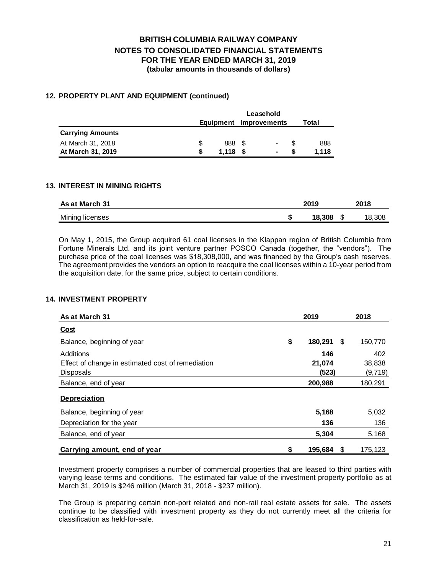### **12. PROPERTY PLANT AND EQUIPMENT (continued)**

|                         | Leasehold        |            |  |                          |  |       |  |  |  |  |  |
|-------------------------|------------------|------------|--|--------------------------|--|-------|--|--|--|--|--|
|                         | <b>Equipment</b> | Total      |  |                          |  |       |  |  |  |  |  |
| <b>Carrying Amounts</b> |                  |            |  |                          |  |       |  |  |  |  |  |
| At March 31, 2018       |                  | 888 \$     |  | $\overline{\phantom{a}}$ |  | 888   |  |  |  |  |  |
| At March 31, 2019       |                  | $1.118$ \$ |  | $\blacksquare$           |  | 1.118 |  |  |  |  |  |

### **13. INTEREST IN MINING RIGHTS**

| As at March 31  |      | 2019   | 2018      |  |  |  |
|-----------------|------|--------|-----------|--|--|--|
| Mining licenses | - 11 | 18.308 | 30٤.<br>ѡ |  |  |  |

On May 1, 2015, the Group acquired 61 coal licenses in the Klappan region of British Columbia from Fortune Minerals Ltd. and its joint venture partner POSCO Canada (together, the "vendors"). The purchase price of the coal licenses was \$18,308,000, and was financed by the Group's cash reserves. The agreement provides the vendors an option to reacquire the coal licenses within a 10-year period from the acquisition date, for the same price, subject to certain conditions.

### **14. INVESTMENT PROPERTY**

| As at March 31                                    |    |         | 2018 |         |
|---------------------------------------------------|----|---------|------|---------|
| <b>Cost</b>                                       |    |         |      |         |
| Balance, beginning of year                        | \$ | 180,291 | \$   | 150,770 |
| Additions                                         |    | 146     |      | 402     |
| Effect of change in estimated cost of remediation |    | 21,074  |      | 38,838  |
| <b>Disposals</b>                                  |    | (523)   |      | (9,719) |
| Balance, end of year                              |    | 200,988 |      | 180,291 |
| <b>Depreciation</b>                               |    |         |      |         |
| Balance, beginning of year                        |    | 5,168   |      | 5,032   |
| Depreciation for the year                         |    | 136     |      | 136     |
| Balance, end of year                              |    | 5,304   |      | 5,168   |
| Carrying amount, end of year                      | \$ | 195,684 | S    | 175,123 |

Investment property comprises a number of commercial properties that are leased to third parties with varying lease terms and conditions. The estimated fair value of the investment property portfolio as at March 31, 2019 is \$246 million (March 31, 2018 - \$237 million).

The Group is preparing certain non-port related and non-rail real estate assets for sale. The assets continue to be classified with investment property as they do not currently meet all the criteria for classification as held-for-sale.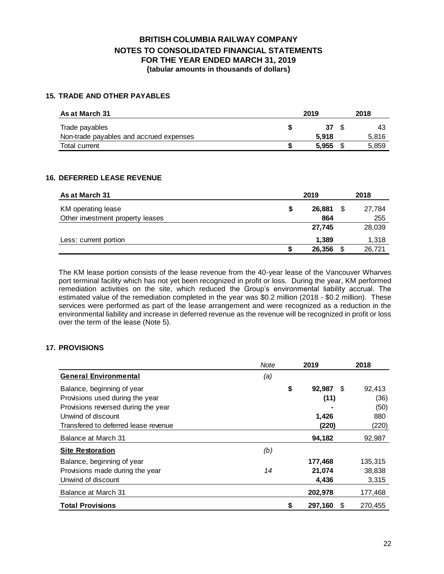### **15. TRADE AND OTHER PAYABLES**

| As at March 31                          | 2019  |   | 2018  |  |  |
|-----------------------------------------|-------|---|-------|--|--|
| Trade payables                          | 37    |   | 43    |  |  |
| Non-trade payables and accrued expenses | 5.918 |   | 5,816 |  |  |
| Total current                           | 5.955 | S | 5,859 |  |  |

#### **16. DEFERRED LEASE REVENUE**

| As at March 31                   |    | 2019   | 2018         |
|----------------------------------|----|--------|--------------|
| KM operating lease               | \$ | 26.881 | \$<br>27,784 |
| Other investment property leases |    | 864    | 255          |
|                                  |    | 27,745 | 28,039       |
| Less: current portion            |    | 1,389  | 1,318        |
|                                  | S  | 26,356 | \$<br>26,721 |

The KM lease portion consists of the lease revenue from the 40-year lease of the Vancouver Wharves port terminal facility which has not yet been recognized in profit or loss. During the year, KM performed remediation activities on the site, which reduced the Group's environmental liability accrual. The estimated value of the remediation completed in the year was \$0.2 million (2018 - \$0.2 million). These services were performed as part of the lease arrangement and were recognized as a reduction in the environmental liability and increase in deferred revenue as the revenue will be recognized in profit or loss over the term of the lease (Note 5).

### **17. PROVISIONS**

|                                      | Note | 2019          |       | 2018    |
|--------------------------------------|------|---------------|-------|---------|
| <b>General Environmental</b>         | (a)  |               |       |         |
| Balance, beginning of year           |      | \$<br>92,987  | - \$  | 92,413  |
| Provisions used during the year      |      |               | (11)  | (36)    |
| Provisions reversed during the year  |      |               |       | (50)    |
| Unwind of discount                   |      | 1,426         |       | 880     |
| Transfered to deferred lease revenue |      |               | (220) | (220)   |
| Balance at March 31                  |      | 94,182        |       | 92,987  |
| <b>Site Restoration</b>              | (b)  |               |       |         |
| Balance, beginning of year           |      | 177,468       |       | 135,315 |
| Provisions made during the year      | 14   | 21,074        |       | 38,838  |
| Unwind of discount                   |      | 4,436         |       | 3,315   |
| Balance at March 31                  |      | 202,978       |       | 177,468 |
| <b>Total Provisions</b>              |      | \$<br>297,160 | \$    | 270,455 |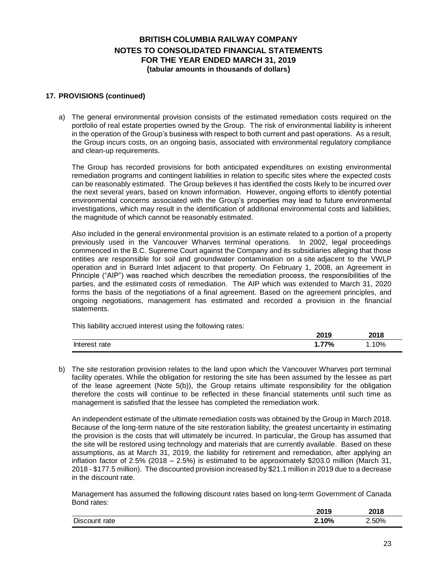### **17. PROVISIONS (continued)**

a) The general environmental provision consists of the estimated remediation costs required on the portfolio of real estate properties owned by the Group. The risk of environmental liability is inherent in the operation of the Group's business with respect to both current and past operations. As a result, the Group incurs costs, on an ongoing basis, associated with environmental regulatory compliance and clean-up requirements.

The Group has recorded provisions for both anticipated expenditures on existing environmental remediation programs and contingent liabilities in relation to specific sites where the expected costs can be reasonably estimated. The Group believes it has identified the costs likely to be incurred over the next several years, based on known information. However, ongoing efforts to identify potential environmental concerns associated with the Group's properties may lead to future environmental investigations, which may result in the identification of additional environmental costs and liabilities, the magnitude of which cannot be reasonably estimated.

Also included in the general environmental provision is an estimate related to a portion of a property previously used in the Vancouver Wharves terminal operations. In 2002, legal proceedings commenced in the B.C. Supreme Court against the Company and its subsidiaries alleging that those entities are responsible for soil and groundwater contamination on a site adjacent to the VWLP operation and in Burrard Inlet adjacent to that property. On February 1, 2008, an Agreement in Principle ("AIP") was reached which describes the remediation process, the responsibilities of the parties, and the estimated costs of remediation. The AIP which was extended to March 31, 2020 forms the basis of the negotiations of a final agreement. Based on the agreement principles, and ongoing negotiations, management has estimated and recorded a provision in the financial statements.

This liability accrued interest using the following rates:

|                    | 0010<br>4V.<br>. . | 0.01 <sup>o</sup><br>. . |
|--------------------|--------------------|--------------------------|
| rate<br>.<br>_____ | 770<br>70<br>      | $.10\%$                  |

b) The site restoration provision relates to the land upon which the Vancouver Wharves port terminal facility operates. While the obligation for restoring the site has been assumed by the lessee as part of the lease agreement (Note 5(b)), the Group retains ultimate responsibility for the obligation therefore the costs will continue to be reflected in these financial statements until such time as management is satisfied that the lessee has completed the remediation work.

An independent estimate of the ultimate remediation costs was obtained by the Group in March 2018. Because of the long-term nature of the site restoration liability, the greatest uncertainty in estimating the provision is the costs that will ultimately be incurred. In particular, the Group has assumed that the site will be restored using technology and materials that are currently available. Based on these assumptions, as at March 31, 2019, the liability for retirement and remediation, after applying an inflation factor of 2.5% (2018 – 2.5%) is estimated to be approximately \$203.0 million (March 31, 2018 - \$177.5 million). The discounted provision increased by \$21.1 million in 2019 due to a decrease in the discount rate.

Management has assumed the following discount rates based on long-term Government of Canada Bond rates:

|                        | 2010<br>20 I J | 2018  |
|------------------------|----------------|-------|
| ÷.<br>rate<br>Discount | 2.10%          | ∠.50% |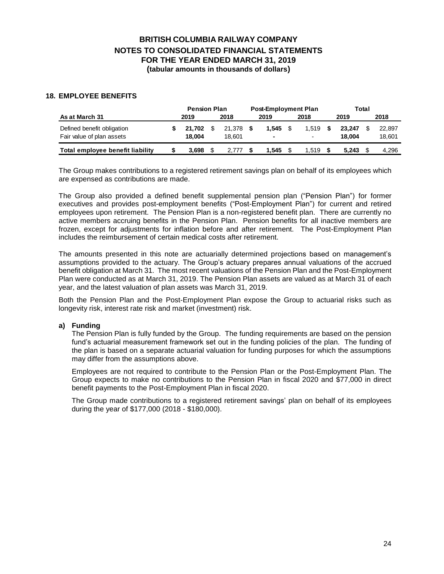#### **18. EMPLOYEE BENEFITS**

|                                                         | <b>Pension Plan</b> |      | <b>Post-Employment Plan</b> |  |            |  |                                   | Total |                  |                  |
|---------------------------------------------------------|---------------------|------|-----------------------------|--|------------|--|-----------------------------------|-------|------------------|------------------|
| As at March 31                                          | 2019                |      | 2018                        |  | 2019       |  | 2018                              |       | 2019             | 2018             |
| Defined benefit obligation<br>Fair value of plan assets | 21.702<br>18.004    | - \$ | 21.378<br>18.601            |  | 1.545<br>۰ |  | 1.519<br>$\overline{\phantom{0}}$ |       | 23.247<br>18.004 | 22,897<br>18.601 |
| Total employee benefit liability                        | 3.698               |      | 2.777                       |  | 1.545      |  | 1.519                             |       | 5.243            | 4.296            |

The Group makes contributions to a registered retirement savings plan on behalf of its employees which are expensed as contributions are made.

The Group also provided a defined benefit supplemental pension plan ("Pension Plan") for former executives and provides post-employment benefits ("Post-Employment Plan") for current and retired employees upon retirement. The Pension Plan is a non-registered benefit plan. There are currently no active members accruing benefits in the Pension Plan. Pension benefits for all inactive members are frozen, except for adjustments for inflation before and after retirement. The Post-Employment Plan includes the reimbursement of certain medical costs after retirement.

The amounts presented in this note are actuarially determined projections based on management's assumptions provided to the actuary. The Group's actuary prepares annual valuations of the accrued benefit obligation at March 31. The most recent valuations of the Pension Plan and the Post-Employment Plan were conducted as at March 31, 2019. The Pension Plan assets are valued as at March 31 of each year, and the latest valuation of plan assets was March 31, 2019.

Both the Pension Plan and the Post-Employment Plan expose the Group to actuarial risks such as longevity risk, interest rate risk and market (investment) risk.

#### **a) Funding**

The Pension Plan is fully funded by the Group. The funding requirements are based on the pension fund's actuarial measurement framework set out in the funding policies of the plan. The funding of the plan is based on a separate actuarial valuation for funding purposes for which the assumptions may differ from the assumptions above.

Employees are not required to contribute to the Pension Plan or the Post-Employment Plan. The Group expects to make no contributions to the Pension Plan in fiscal 2020 and \$77,000 in direct benefit payments to the Post-Employment Plan in fiscal 2020.

The Group made contributions to a registered retirement savings' plan on behalf of its employees during the year of \$177,000 (2018 - \$180,000).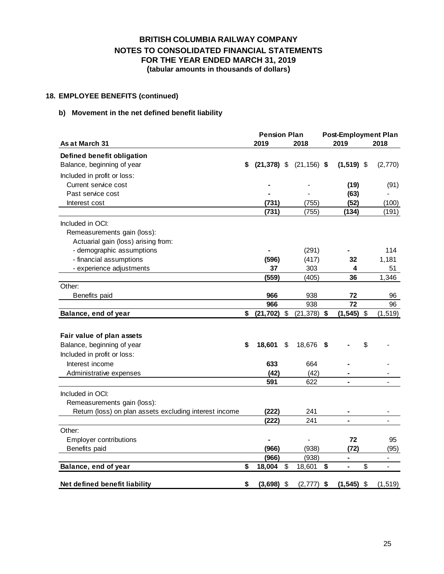# **18. EMPLOYEE BENEFITS (continued)**

### **b) Movement in the net defined benefit liability**

|                                                        | <b>Pension Plan</b>  |               |                             |      | <b>Post-Employment Plan</b> |    |                              |  |
|--------------------------------------------------------|----------------------|---------------|-----------------------------|------|-----------------------------|----|------------------------------|--|
| As at March 31                                         | 2019                 |               | 2018                        |      | 2019                        |    | 2018                         |  |
| Defined benefit obligation                             |                      |               |                             |      |                             |    |                              |  |
| Balance, beginning of year                             | \$                   |               | $(21,378)$ \$ $(21,156)$ \$ |      | $(1,519)$ \$                |    | (2,770)                      |  |
| Included in profit or loss:                            |                      |               |                             |      |                             |    |                              |  |
| Current service cost                                   |                      |               |                             |      | (19)                        |    | (91)                         |  |
| Past service cost                                      |                      |               |                             |      | (63)                        |    |                              |  |
| Interest cost                                          | (731)                |               | (755)                       |      | (52)                        |    | (100)                        |  |
|                                                        | (731)                |               | (755)                       |      | (134)                       |    | (191)                        |  |
| Included in OCI:                                       |                      |               |                             |      |                             |    |                              |  |
| Remeasurements gain (loss):                            |                      |               |                             |      |                             |    |                              |  |
| Actuarial gain (loss) arising from:                    |                      |               |                             |      |                             |    |                              |  |
| - demographic assumptions                              |                      |               | (291)                       |      |                             |    | 114                          |  |
| - financial assumptions                                | (596)                |               | (417)                       |      | 32                          |    | 1,181                        |  |
| - experience adjustments                               | 37                   |               | 303                         |      | 4                           |    | 51                           |  |
|                                                        | (559)                |               | (405)                       |      | 36                          |    | 1,346                        |  |
| Other:                                                 |                      |               |                             |      |                             |    |                              |  |
| Benefits paid                                          | 966                  |               | 938                         |      | 72                          |    | 96                           |  |
|                                                        | 966                  |               | 938                         |      | 72                          |    | 96                           |  |
| Balance, end of year                                   | \$<br>$(21, 702)$ \$ |               | (21, 378)                   | \$   | (1, 545)                    | \$ | (1, 519)                     |  |
|                                                        |                      |               |                             |      |                             |    |                              |  |
| Fair value of plan assets                              |                      |               |                             |      |                             |    |                              |  |
| Balance, beginning of year                             | \$<br>18,601         | $\mathfrak s$ | 18,676                      | - \$ |                             | \$ |                              |  |
| Included in profit or loss:                            |                      |               |                             |      |                             |    |                              |  |
| Interest income                                        | 633                  |               | 664                         |      |                             |    |                              |  |
| Administrative expenses                                | (42)                 |               | (42)                        |      |                             |    |                              |  |
|                                                        | 591                  |               | 622                         |      | ۰                           |    |                              |  |
| Included in OCI:                                       |                      |               |                             |      |                             |    |                              |  |
| Remeasurements gain (loss):                            |                      |               |                             |      |                             |    |                              |  |
| Return (loss) on plan assets excluding interest income | (222)                |               | 241                         |      | ۰                           |    | $\blacksquare$               |  |
|                                                        | (222)                |               | 241                         |      |                             |    |                              |  |
| Other:                                                 |                      |               |                             |      |                             |    |                              |  |
| <b>Employer contributions</b>                          |                      |               |                             |      | 72                          |    | 95                           |  |
| Benefits paid                                          | (966)                |               | (938)                       |      | (72)                        |    | (95)                         |  |
|                                                        | (966)                |               | (938)                       |      |                             |    | $\qquad \qquad \blacksquare$ |  |
| Balance, end of year                                   | \$<br>18,004         | \$            | 18,601                      | \$   |                             | \$ | $\overline{\phantom{0}}$     |  |
|                                                        |                      |               |                             |      |                             |    |                              |  |
| Net defined benefit liability                          | \$<br>$(3,698)$ \$   |               | $(2,777)$ \$                |      | $(1,545)$ \$                |    | (1, 519)                     |  |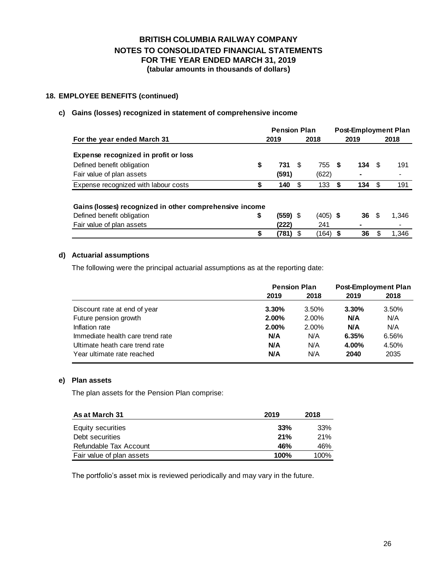## **18. EMPLOYEE BENEFITS (continued)**

# **c) Gains (losses) recognized in statement of comprehensive income**

|                                                         |    |            | <b>Pension Plan</b> |            |      | <b>Post-Employment Plan</b> |    |       |  |  |
|---------------------------------------------------------|----|------------|---------------------|------------|------|-----------------------------|----|-------|--|--|
| For the year ended March 31                             |    | 2019       |                     | 2018       | 2019 |                             |    | 2018  |  |  |
| Expense recognized in profit or loss                    |    |            |                     |            |      |                             |    |       |  |  |
| Defined benefit obligation                              | S  | 731        | \$.                 | 755        | - 5  | 134                         |    | 191   |  |  |
| Fair value of plan assets                               |    | (591)      |                     | (622)      |      | ۰                           |    |       |  |  |
| Expense recognized with labour costs                    |    | 140        | S                   | 133        | -\$  | 134                         | -S | 191   |  |  |
| Gains (losses) recognized in other comprehensive income |    |            |                     |            |      |                             |    |       |  |  |
| Defined benefit obligation                              | \$ | $(559)$ \$ |                     | $(405)$ \$ |      | 36                          | -S | 1,346 |  |  |
| Fair value of plan assets                               |    | (222)      |                     | 241        |      | ۰                           |    |       |  |  |

**\$ (781)** \$ (164) **\$ 36** \$ 1,346

### **d) Actuarial assumptions**

The following were the principal actuarial assumptions as at the reporting date:

|                                  | <b>Pension Plan</b> |          |       | <b>Post-Employment Plan</b> |
|----------------------------------|---------------------|----------|-------|-----------------------------|
|                                  | 2019                | 2018     | 2019  | 2018                        |
| Discount rate at end of year     | 3.30%               | 3.50%    | 3.30% | 3.50%                       |
| Future pension growth            | 2.00%               | $2.00\%$ | N/A   | N/A                         |
| Inflation rate                   | 2.00%               | 2.00%    | N/A   | N/A                         |
| Immediate health care trend rate | N/A                 | N/A      | 6.35% | 6.56%                       |
| Ultimate heath care trend rate   | N/A                 | N/A      | 4.00% | 4.50%                       |
| Year ultimate rate reached       | N/A                 | N/A      | 2040  | 2035                        |

### **e) Plan assets**

The plan assets for the Pension Plan comprise:

| As at March 31            | 2019 | 2018 |
|---------------------------|------|------|
| Equity securities         | 33%  | 33%  |
| Debt securities           | 21%  | 21%  |
| Refundable Tax Account    | 46%  | 46%  |
| Fair value of plan assets | 100% | 100% |

The portfolio's asset mix is reviewed periodically and may vary in the future.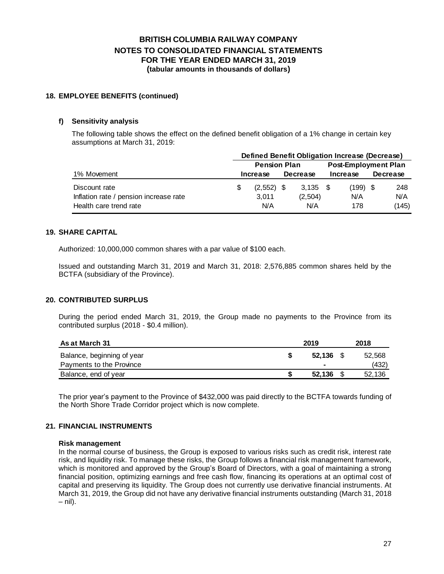### **18. EMPLOYEE BENEFITS (continued)**

#### **f) Sensitivity analysis**

The following table shows the effect on the defined benefit obligation of a 1% change in certain key assumptions at March 31, 2019:

|                                        | Defined Benefit Obligation Increase (Decrease)     |              |          |         |                 |            |  |       |
|----------------------------------------|----------------------------------------------------|--------------|----------|---------|-----------------|------------|--|-------|
|                                        | <b>Post-Employment Plan</b><br><b>Pension Plan</b> |              |          |         |                 |            |  |       |
| 1% Movement                            | Decrease<br>Increase                               |              | Increase |         | <b>Decrease</b> |            |  |       |
| Discount rate                          |                                                    | $(2,552)$ \$ |          | 3.135   | - \$            | $(199)$ \$ |  | 248   |
| Inflation rate / pension increase rate |                                                    | 3.011        |          | (2,504) |                 | N/A        |  | N/A   |
| Health care trend rate                 |                                                    | N/A          |          | N/A     |                 | 178        |  | (145) |

### **19. SHARE CAPITAL**

Authorized: 10,000,000 common shares with a par value of \$100 each.

Issued and outstanding March 31, 2019 and March 31, 2018: 2,576,885 common shares held by the BCTFA (subsidiary of the Province).

### **20. CONTRIBUTED SURPLUS**

During the period ended March 31, 2019, the Group made no payments to the Province from its contributed surplus (2018 - \$0.4 million).

| As at March 31             | 2019 |                |  | 2018   |  |  |
|----------------------------|------|----------------|--|--------|--|--|
| Balance, beginning of year |      | 52.136         |  | 52.568 |  |  |
| Payments to the Province   |      | $\blacksquare$ |  | (432)  |  |  |
| Balance, end of year       |      | 52.136         |  | 52.136 |  |  |

The prior year's payment to the Province of \$432,000 was paid directly to the BCTFA towards funding of the North Shore Trade Corridor project which is now complete.

### **21. FINANCIAL INSTRUMENTS**

#### **Risk management**

In the normal course of business, the Group is exposed to various risks such as credit risk, interest rate risk, and liquidity risk. To manage these risks, the Group follows a financial risk management framework, which is monitored and approved by the Group's Board of Directors, with a goal of maintaining a strong financial position, optimizing earnings and free cash flow, financing its operations at an optimal cost of capital and preserving its liquidity. The Group does not currently use derivative financial instruments. At March 31, 2019, the Group did not have any derivative financial instruments outstanding (March 31, 2018  $-$  nil).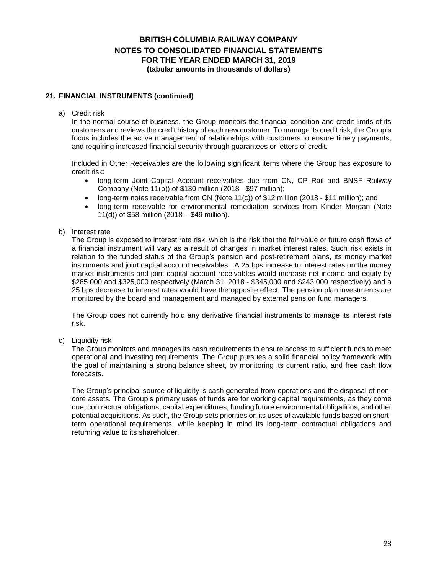### **21. FINANCIAL INSTRUMENTS (continued)**

a) Credit risk

In the normal course of business, the Group monitors the financial condition and credit limits of its customers and reviews the credit history of each new customer. To manage its credit risk, the Group's focus includes the active management of relationships with customers to ensure timely payments, and requiring increased financial security through guarantees or letters of credit.

Included in Other Receivables are the following significant items where the Group has exposure to credit risk:

- long-term Joint Capital Account receivables due from CN, CP Rail and BNSF Railway Company (Note 11(b)) of \$130 million (2018 - \$97 million);
- long-term notes receivable from CN (Note 11(c)) of \$12 million (2018 \$11 million); and
- long-term receivable for environmental remediation services from Kinder Morgan (Note 11(d)) of \$58 million (2018 – \$49 million).

#### b) Interest rate

The Group is exposed to interest rate risk, which is the risk that the fair value or future cash flows of a financial instrument will vary as a result of changes in market interest rates. Such risk exists in relation to the funded status of the Group's pension and post-retirement plans, its money market instruments and joint capital account receivables. A 25 bps increase to interest rates on the money market instruments and joint capital account receivables would increase net income and equity by \$285,000 and \$325,000 respectively (March 31, 2018 - \$345,000 and \$243,000 respectively) and a 25 bps decrease to interest rates would have the opposite effect. The pension plan investments are monitored by the board and management and managed by external pension fund managers.

The Group does not currently hold any derivative financial instruments to manage its interest rate risk.

c) Liquidity risk

The Group monitors and manages its cash requirements to ensure access to sufficient funds to meet operational and investing requirements. The Group pursues a solid financial policy framework with the goal of maintaining a strong balance sheet, by monitoring its current ratio, and free cash flow forecasts.

The Group's principal source of liquidity is cash generated from operations and the disposal of noncore assets. The Group's primary uses of funds are for working capital requirements, as they come due, contractual obligations, capital expenditures, funding future environmental obligations, and other potential acquisitions. As such, the Group sets priorities on its uses of available funds based on shortterm operational requirements, while keeping in mind its long-term contractual obligations and returning value to its shareholder.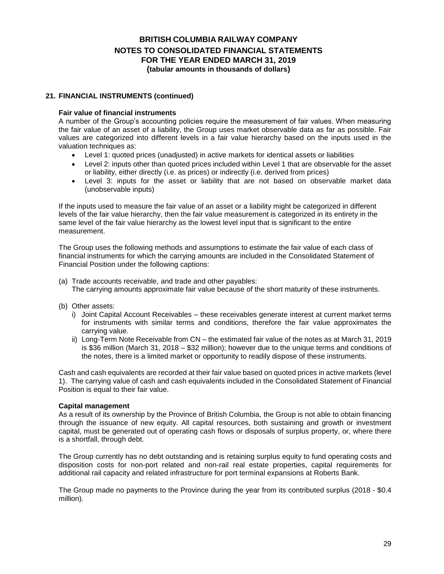### **21. FINANCIAL INSTRUMENTS (continued)**

#### **Fair value of financial instruments**

A number of the Group's accounting policies require the measurement of fair values. When measuring the fair value of an asset of a liability, the Group uses market observable data as far as possible. Fair values are categorized into different levels in a fair value hierarchy based on the inputs used in the valuation techniques as:

- Level 1: quoted prices (unadjusted) in active markets for identical assets or liabilities
- Level 2: inputs other than quoted prices included within Level 1 that are observable for the asset or liability, either directly (i.e. as prices) or indirectly (i.e. derived from prices)
- Level 3: inputs for the asset or liability that are not based on observable market data (unobservable inputs)

If the inputs used to measure the fair value of an asset or a liability might be categorized in different levels of the fair value hierarchy, then the fair value measurement is categorized in its entirety in the same level of the fair value hierarchy as the lowest level input that is significant to the entire measurement.

The Group uses the following methods and assumptions to estimate the fair value of each class of financial instruments for which the carrying amounts are included in the Consolidated Statement of Financial Position under the following captions:

- (a) Trade accounts receivable, and trade and other payables: The carrying amounts approximate fair value because of the short maturity of these instruments.
- (b) Other assets:
	- i) Joint Capital Account Receivables these receivables generate interest at current market terms for instruments with similar terms and conditions, therefore the fair value approximates the carrying value.
	- ii) Long-Term Note Receivable from CN the estimated fair value of the notes as at March 31, 2019 is \$36 million (March 31, 2018 – \$32 million); however due to the unique terms and conditions of the notes, there is a limited market or opportunity to readily dispose of these instruments.

Cash and cash equivalents are recorded at their fair value based on quoted prices in active markets (level 1). The carrying value of cash and cash equivalents included in the Consolidated Statement of Financial Position is equal to their fair value.

#### **Capital management**

As a result of its ownership by the Province of British Columbia, the Group is not able to obtain financing through the issuance of new equity. All capital resources, both sustaining and growth or investment capital, must be generated out of operating cash flows or disposals of surplus property, or, where there is a shortfall, through debt.

The Group currently has no debt outstanding and is retaining surplus equity to fund operating costs and disposition costs for non-port related and non-rail real estate properties, capital requirements for additional rail capacity and related infrastructure for port terminal expansions at Roberts Bank.

The Group made no payments to the Province during the year from its contributed surplus (2018 - \$0.4 million).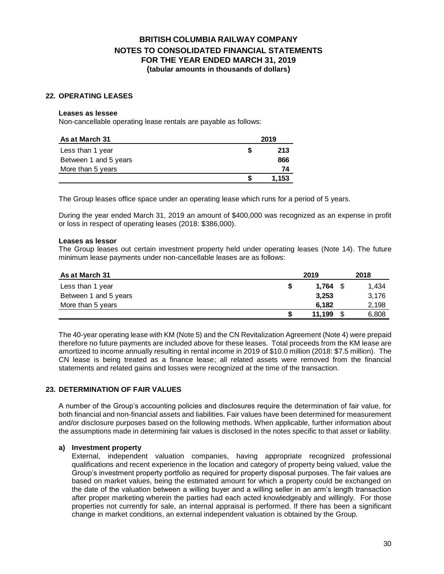#### **22. OPERATING LEASES**

#### **Leases as lessee**

Non-cancellable operating lease rentals are payable as follows:

| As at March 31        | 2019  |
|-----------------------|-------|
| Less than 1 year      | 213   |
| Between 1 and 5 years | 866   |
| More than 5 years     | 74    |
|                       | 1.153 |

The Group leases office space under an operating lease which runs for a period of 5 years.

During the year ended March 31, 2019 an amount of \$400,000 was recognized as an expense in profit or loss in respect of operating leases (2018: \$386,000).

#### **Leases as lessor**

The Group leases out certain investment property held under operating leases (Note 14). The future minimum lease payments under non-cancellable leases are as follows:

| As at March 31        | 2019 |        |  | 2018  |
|-----------------------|------|--------|--|-------|
| Less than 1 year      | \$   | 1.764  |  | 1,434 |
| Between 1 and 5 years |      | 3,253  |  | 3,176 |
| More than 5 years     |      | 6.182  |  | 2,198 |
|                       | S    | 11.199 |  | 6,808 |

The 40-year operating lease with KM (Note 5) and the CN Revitalization Agreement (Note 4) were prepaid therefore no future payments are included above for these leases. Total proceeds from the KM lease are amortized to income annually resulting in rental income in 2019 of \$10.0 million (2018: \$7.5 million). The CN lease is being treated as a finance lease; all related assets were removed from the financial statements and related gains and losses were recognized at the time of the transaction.

### **23. DETERMINATION OF FAIR VALUES**

A number of the Group's accounting policies and disclosures require the determination of fair value, for both financial and non-financial assets and liabilities. Fair values have been determined for measurement and/or disclosure purposes based on the following methods. When applicable, further information about the assumptions made in determining fair values is disclosed in the notes specific to that asset or liability.

#### **a) Investment property**

External, independent valuation companies, having appropriate recognized professional qualifications and recent experience in the location and category of property being valued, value the Group's investment property portfolio as required for property disposal purposes. The fair values are based on market values, being the estimated amount for which a property could be exchanged on the date of the valuation between a willing buyer and a willing seller in an arm's length transaction after proper marketing wherein the parties had each acted knowledgeably and willingly. For those properties not currently for sale, an internal appraisal is performed. If there has been a significant change in market conditions, an external independent valuation is obtained by the Group.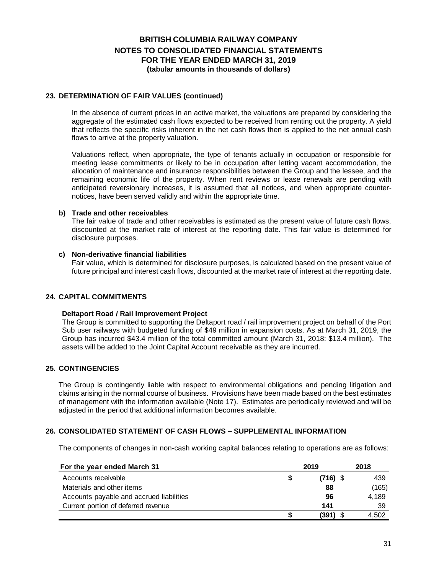#### **23. DETERMINATION OF FAIR VALUES (continued)**

In the absence of current prices in an active market, the valuations are prepared by considering the aggregate of the estimated cash flows expected to be received from renting out the property. A yield that reflects the specific risks inherent in the net cash flows then is applied to the net annual cash flows to arrive at the property valuation.

Valuations reflect, when appropriate, the type of tenants actually in occupation or responsible for meeting lease commitments or likely to be in occupation after letting vacant accommodation, the allocation of maintenance and insurance responsibilities between the Group and the lessee, and the remaining economic life of the property. When rent reviews or lease renewals are pending with anticipated reversionary increases, it is assumed that all notices, and when appropriate counternotices, have been served validly and within the appropriate time.

#### **b) Trade and other receivables**

The fair value of trade and other receivables is estimated as the present value of future cash flows, discounted at the market rate of interest at the reporting date. This fair value is determined for disclosure purposes.

#### **c) Non-derivative financial liabilities**

Fair value, which is determined for disclosure purposes, is calculated based on the present value of future principal and interest cash flows, discounted at the market rate of interest at the reporting date.

### **24. CAPITAL COMMITMENTS**

#### **Deltaport Road / Rail Improvement Project**

The Group is committed to supporting the Deltaport road / rail improvement project on behalf of the Port Sub user railways with budgeted funding of \$49 million in expansion costs. As at March 31, 2019, the Group has incurred \$43.4 million of the total committed amount (March 31, 2018: \$13.4 million). The assets will be added to the Joint Capital Account receivable as they are incurred.

#### **25. CONTINGENCIES**

The Group is contingently liable with respect to environmental obligations and pending litigation and claims arising in the normal course of business. Provisions have been made based on the best estimates of management with the information available (Note 17). Estimates are periodically reviewed and will be adjusted in the period that additional information becomes available.

#### **26. CONSOLIDATED STATEMENT OF CASH FLOWS – SUPPLEMENTAL INFORMATION**

The components of changes in non-cash working capital balances relating to operations are as follows:

| For the year ended March 31              | 2019             |       |
|------------------------------------------|------------------|-------|
| Accounts receivable                      | \$<br>$(716)$ \$ | 439   |
| Materials and other items                | 88               | (165) |
| Accounts payable and accrued liabilities | 96               | 4,189 |
| Current portion of deferred revenue      | 141              | 39    |
|                                          | (391)            | 4.502 |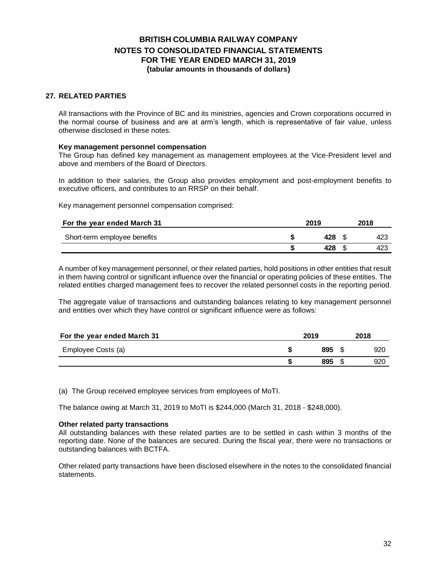### **27. RELATED PARTIES**

All transactions with the Province of BC and its ministries, agencies and Crown corporations occurred in the normal course of business and are at arm's length, which is representative of fair value, unless otherwise disclosed in these notes.

#### **Key management personnel compensation**

The Group has defined key management as management employees at the Vice-President level and above and members of the Board of Directors.

In addition to their salaries, the Group also provides employment and post-employment benefits to executive officers, and contributes to an RRSP on their behalf.

Key management personnel compensation comprised:

| For the year ended March 31  | 2019 | 2018 |
|------------------------------|------|------|
| Short-term employee benefits | 428  | 423  |
|                              | 428  | 42.  |

A number of key management personnel, or their related parties, hold positions in other entities that result in them having control or significant influence over the financial or operating policies of these entities. The related entities charged management fees to recover the related personnel costs in the reporting period.

The aggregate value of transactions and outstanding balances relating to key management personnel and entities over which they have control or significant influence were as follows:

| For the year ended March 31 |   | 2019 | 2018 |
|-----------------------------|---|------|------|
| Employee Costs (a)          |   | 895  | 920  |
|                             | æ | 895  | 920  |

(a) The Group received employee services from employees of MoTI.

The balance owing at March 31, 2019 to MoTI is \$244,000 (March 31, 2018 - \$248,000).

#### **Other related party transactions**

All outstanding balances with these related parties are to be settled in cash within 3 months of the reporting date. None of the balances are secured. During the fiscal year, there were no transactions or outstanding balances with BCTFA.

Other related party transactions have been disclosed elsewhere in the notes to the consolidated financial statements.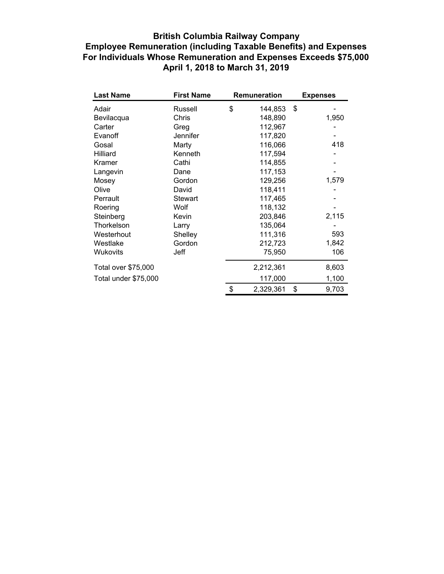# **British Columbia Railway Company Employee Remuneration (including Taxable Benefits) and Expenses For Individuals Whose Remuneration and Expenses Exceeds \$75,000 April 1, 2018 to March 31, 2019**

| <b>Last Name</b>     | <b>First Name</b> | Remuneration    |    | <b>Expenses</b> |
|----------------------|-------------------|-----------------|----|-----------------|
| Adair                | Russell           | \$<br>144,853   | \$ |                 |
| Bevilacqua           | Chris             | 148,890         |    | 1,950           |
| Carter               | Greg              | 112,967         |    |                 |
| Evanoff              | Jennifer          | 117,820         |    |                 |
| Gosal                | Marty             | 116,066         |    | 418             |
| Hilliard             | Kenneth           | 117,594         |    |                 |
| Kramer               | Cathi             | 114,855         |    |                 |
| Langevin             | Dane              | 117,153         |    |                 |
| Mosey                | Gordon            | 129,256         |    | 1,579           |
| Olive                | David             | 118,411         |    |                 |
| Perrault             | <b>Stewart</b>    | 117,465         |    |                 |
| Roering              | Wolf              | 118,132         |    |                 |
| Steinberg            | Kevin             | 203,846         |    | 2,115           |
| Thorkelson           | Larry             | 135,064         |    |                 |
| Westerhout           | Shelley           | 111,316         |    | 593             |
| Westlake             | Gordon            | 212,723         |    | 1,842           |
| <b>Wukovits</b>      | Jeff              | 75,950          |    | 106             |
| Total over \$75,000  |                   | 2,212,361       |    | 8,603           |
| Total under \$75,000 |                   | 117,000         |    | 1,100           |
|                      |                   | \$<br>2,329,361 | \$ | 9,703           |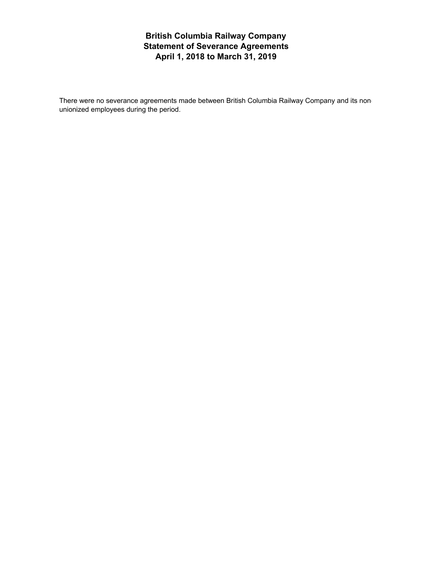# **British Columbia Railway Company Statement of Severance Agreements April 1, 2018 to March 31, 2019**

There were no severance agreements made between British Columbia Railway Company and its nonunionized employees during the period.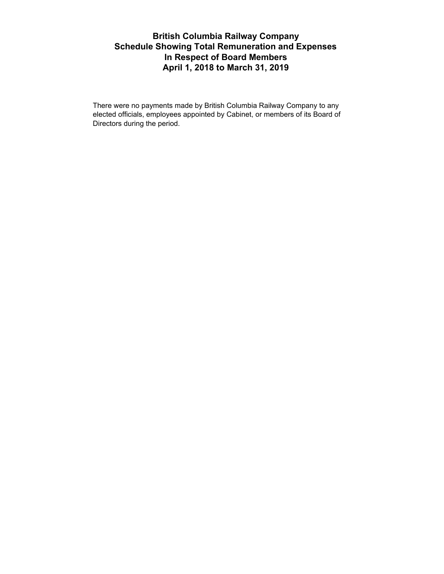# **British Columbia Railway Company Schedule Showing Total Remuneration and Expenses In Respect of Board Members April 1, 2018 to March 31, 2019**

There were no payments made by British Columbia Railway Company to any elected officials, employees appointed by Cabinet, or members of its Board of Directors during the period.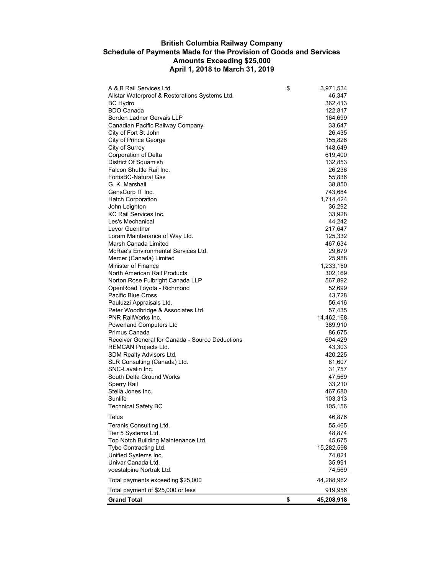#### **British Columbia Railway Company Schedule of Payments Made for the Provision of Goods and Services Amounts Exceeding \$25,000 April 1, 2018 to March 31, 2019**

| <b>Grand Total</b>                                          | \$<br>45,208,918     |
|-------------------------------------------------------------|----------------------|
| Total payment of \$25,000 or less                           | 919,956              |
| Total payments exceeding \$25,000                           | 44,288,962           |
|                                                             |                      |
| Univar Canada Ltd.<br>voestalpine Nortrak Ltd.              | 35,991<br>74,569     |
| Unified Systems Inc.                                        | 74,021               |
| Tybo Contracting Ltd.                                       | 15,282,598           |
| Top Notch Building Maintenance Ltd.                         | 45,675               |
| Tier 5 Systems Ltd.                                         | 48,874               |
| Teranis Consulting Ltd.                                     | 55,465               |
| Telus                                                       | 46,876               |
|                                                             |                      |
| <b>Technical Safety BC</b>                                  | 105,156              |
| Sunlife                                                     | 103,313              |
| Stella Jones Inc.                                           | 467,680              |
| Sperry Rail                                                 | 33,210               |
| South Delta Ground Works                                    | 47,569               |
| SNC-Lavalin Inc.                                            | 31,757               |
| SLR Consulting (Canada) Ltd.                                | 81,607               |
| SDM Realty Advisors Ltd.                                    | 420,225              |
| REMCAN Projects Ltd.                                        | 694,429<br>43,303    |
| Receiver General for Canada - Source Deductions             | 86,675               |
| Primus Canada                                               | 389,910              |
| <b>Powerland Computers Ltd</b>                              |                      |
| PNR RailWorks Inc.                                          | 57,435<br>14,462,168 |
| Peter Woodbridge & Associates Ltd.                          |                      |
| Pauluzzi Appraisals Ltd.                                    | 43,728<br>56,416     |
| OpenRoad Toyota - Richmond<br>Pacific Blue Cross            | 52,699               |
| Norton Rose Fulbright Canada LLP                            | 567,892              |
|                                                             | 302,169              |
| North American Rail Products                                | 1,233,160            |
| Mercer (Canada) Limited<br>Minister of Finance              | 25,988               |
|                                                             |                      |
| Marsh Canada Limited<br>McRae's Environmental Services Ltd. | 467,634<br>29,679    |
|                                                             | 125,332              |
| Levor Guenther<br>Loram Maintenance of Way Ltd.             | 217,647              |
| Les's Mechanical                                            | 44,242               |
| KC Rail Services Inc.                                       | 33,928               |
| John Leighton                                               | 36,292               |
| <b>Hatch Corporation</b>                                    | 1,714,424            |
| GensCorp IT Inc.                                            | 743,684              |
| G. K. Marshall                                              | 38,850               |
| FortisBC-Natural Gas                                        | 55,836               |
| Falcon Shuttle Rail Inc.                                    | 26,236               |
| District Of Squamish                                        | 132,853              |
| Corporation of Delta                                        | 619,400              |
| City of Surrey                                              | 148,649              |
| City of Prince George                                       | 155,826              |
| City of Fort St John                                        | 26,435               |
| Canadian Pacific Railway Company                            | 33,647               |
| Borden Ladner Gervais LLP                                   | 164,699              |
| <b>BDO Canada</b>                                           | 122,817              |
| <b>BC Hydro</b>                                             | 362,413              |
| Allstar Waterproof & Restorations Systems Ltd.              | 46,347               |
| A & B Rail Services Ltd.                                    | \$<br>3,971,534      |
|                                                             |                      |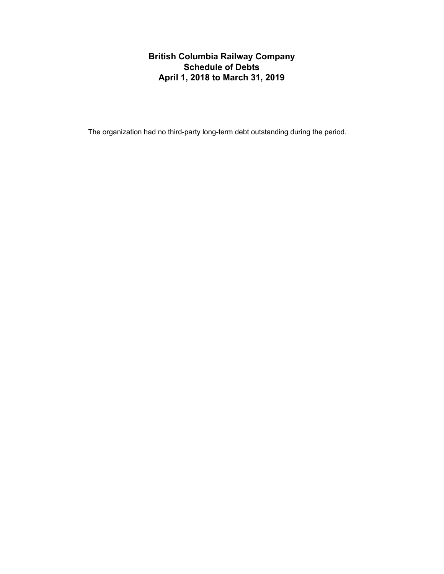# **Schedule of Debts April 1, 2018 to March 31, 2019 British Columbia Railway Company**

The organization had no third-party long-term debt outstanding during the period.